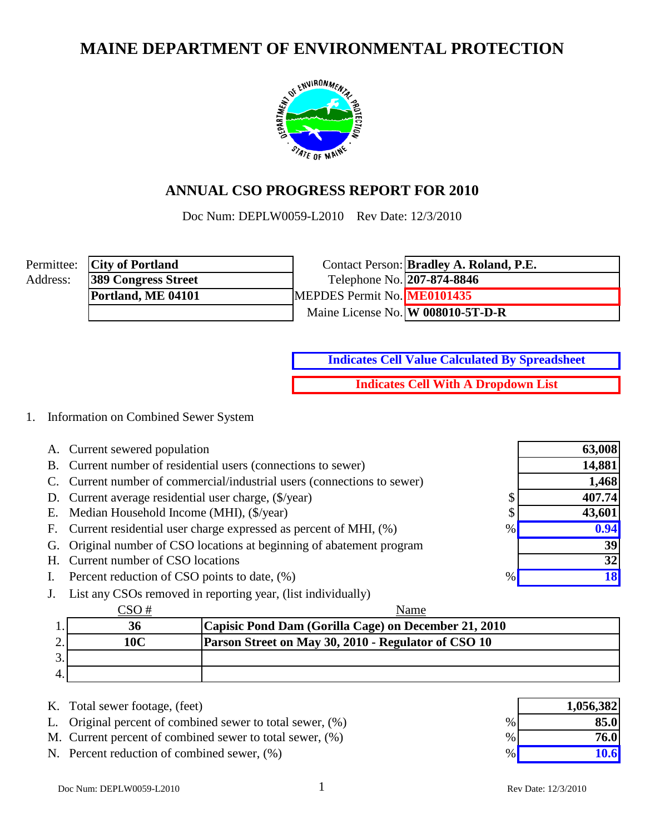# **MAINE DEPARTMENT OF ENVIRONMENTAL PROTECTION**



# **ANNUAL CSO PROGRESS REPORT FOR 2010**

Doc Num: DEPLW0059-L2010 Rev Date: 12/3/2010

|          | Permittee: <b>City of Portland</b> |                             | Contact Person: <b>Bradley A. Roland, P.E.</b> |
|----------|------------------------------------|-----------------------------|------------------------------------------------|
| Address: | <b>389 Congress Street</b>         | Telephone No. 207-874-8846  |                                                |
|          | Portland, ME 04101                 | MEPDES Permit No. ME0101435 |                                                |
|          |                                    |                             | Maine License No. W 008010-5T-D-R              |

**Indicates Cell Value Calculated By Spreadsheet**

**Indicates Cell With A Dropdown List**

### 1. Information on Combined Sewer System

|                | A. Current sewered population                                               | 63,008    |
|----------------|-----------------------------------------------------------------------------|-----------|
|                | B. Current number of residential users (connections to sewer)               | 14,881    |
|                | C. Current number of commercial/industrial users (connections to sewer)     | 1,468     |
|                | D. Current average residential user charge, (\$/year)<br>Φ                  | 407.74    |
|                | E. Median Household Income (MHI), (\$/year)<br>Φ                            | 43,601    |
|                | F. Current residential user charge expressed as percent of MHI, (%)<br>$\%$ | 0.94      |
|                | G. Original number of CSO locations at beginning of abatement program       | 39        |
|                | H. Current number of CSO locations                                          | 32        |
| $\mathbf{I}$ . | Percent reduction of CSO points to date, (%)<br>$\%$                        | <b>18</b> |
|                | List any CSOs removed in reporting year, (list individually)                |           |

|     | Name                                                       |
|-----|------------------------------------------------------------|
| 36  | Capisic Pond Dam (Gorilla Cage) on December 21, 2010       |
| 10C | <b>Parson Street on May 30, 2010 - Regulator of CSO 10</b> |
|     |                                                            |
|     |                                                            |

- K. Total sewer footage, (feet)
- L. Original percent of combined sewer to total sewer,  $(\%)$
- M. Current percent of combined sewer to total sewer,  $(\%)$
- N. Percent reduction of combined sewer,  $(\%)$

|      | 1,056,382 |
|------|-----------|
| $\%$ | 85.0      |
| $\%$ | 76.0      |
| %    | 10.6      |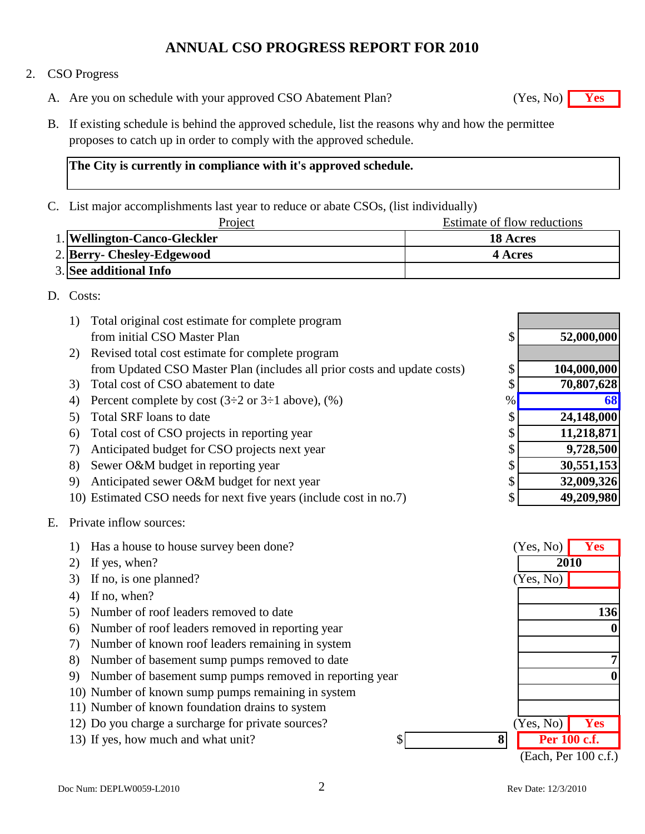### 2. CSO Progress

- A. Are you on schedule with your approved CSO Abatement Plan? **Yes** (Yes, No) **Yes**
- B. If existing schedule is behind the approved schedule, list the reasons why and how the permittee proposes to catch up in order to comply with the approved schedule.

### **The City is currently in compliance with it's approved schedule.**

C. List major accomplishments last year to reduce or abate CSOs, (list individually)

| Project                      | Estimate of flow reductions |
|------------------------------|-----------------------------|
| 1. Wellington-Canco-Gleckler | <b>18 Acres</b>             |
| 2. Berry- Chesley-Edgewood   | 4 Acres                     |
| 3. See additional Info       |                             |

### D. Costs:

| Total original cost estimate for complete program<br>1)                  |      |             |
|--------------------------------------------------------------------------|------|-------------|
| from initial CSO Master Plan                                             | \$   | 52,000,000  |
| Revised total cost estimate for complete program<br>2)                   |      |             |
| from Updated CSO Master Plan (includes all prior costs and update costs) | \$   | 104,000,000 |
| Total cost of CSO abatement to date<br>3)                                | \$   | 70,807,628  |
| Percent complete by cost $(3\div 2$ or $3\div 1$ above), $(\%)$<br>4)    | $\%$ | 68          |
| Total SRF loans to date<br>5)                                            | \$   | 24,148,000  |
| Total cost of CSO projects in reporting year<br>6)                       | \$   | 11,218,871  |
| Anticipated budget for CSO projects next year<br>7)                      | \$   | 9,728,500   |
| Sewer O&M budget in reporting year<br>8)                                 | \$   | 30,551,153  |
| Anticipated sewer O&M budget for next year<br>9)                         | \$   | 32,009,326  |
| 10) Estimated CSO needs for next five years (include cost in no.7)       | \$   | 49,209,980  |
|                                                                          |      |             |

### E. Private inflow sources:

|    | Has a house to house survey been done?                  | (Yes, No)            | <b>Yes</b> |
|----|---------------------------------------------------------|----------------------|------------|
| 2) | If yes, when?                                           | 2010                 |            |
| 3) | If no, is one planned?                                  | (Yes, No)            |            |
| 4) | If no, when?                                            |                      |            |
| 5) | Number of roof leaders removed to date                  |                      | 136        |
| 6) | Number of roof leaders removed in reporting year        |                      | 0          |
| 7) | Number of known roof leaders remaining in system        |                      |            |
| 8) | Number of basement sump pumps removed to date           |                      |            |
| 9) | Number of basement sump pumps removed in reporting year |                      |            |
|    | 10) Number of known sump pumps remaining in system      |                      |            |
|    | 11) Number of known foundation drains to system         |                      |            |
|    | 12) Do you charge a surcharge for private sources?      | Yes, No)             | <b>Yes</b> |
|    | 8<br>13) If yes, how much and what unit?<br>\$          | Per 100 c.f.         |            |
|    |                                                         | (Each, Per 100 c.f.) |            |

 $(Yes, No)$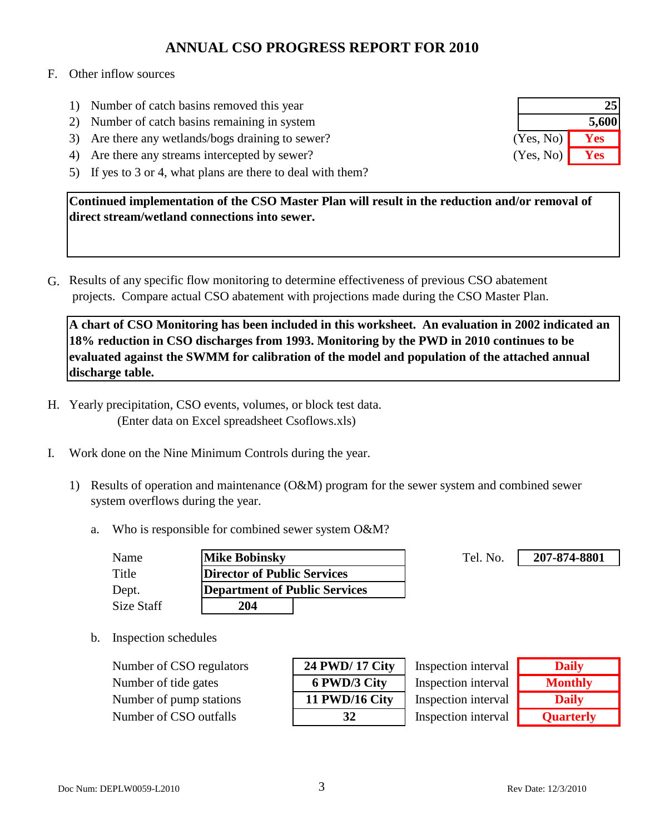#### F. Other inflow sources

- 1) Number of catch basins removed this year
- 2) Number of catch basins remaining in system
- 3) Are there any wetlands/bogs draining to sewer?
- 4) Are there any streams intercepted by sewer?
- 5) If yes to 3 or 4, what plans are there to deal with them?

**Continued implementation of the CSO Master Plan will result in the reduction and/or removal of direct stream/wetland connections into sewer.**

G. Results of any specific flow monitoring to determine effectiveness of previous CSO abatement projects. Compare actual CSO abatement with projections made during the CSO Master Plan.

**A chart of CSO Monitoring has been included in this worksheet. An evaluation in 2002 indicated an 18% reduction in CSO discharges from 1993. Monitoring by the PWD in 2010 continues to be evaluated against the SWMM for calibration of the model and population of the attached annual discharge table.**

- H. Yearly precipitation, CSO events, volumes, or block test data. (Enter data on Excel spreadsheet Csoflows.xls)
- I. Work done on the Nine Minimum Controls during the year.
	- 1) Results of operation and maintenance (O&M) program for the sewer system and combined sewer system overflows during the year.
		- a. Who is responsible for combined sewer system O&M?

| Name       | <b>Mike Bobinsky</b>          | Tel. No. |
|------------|-------------------------------|----------|
| Title      | Director of Public Services   |          |
| Dept.      | Department of Public Services |          |
| Size Staff | 204                           |          |

**207-874-8801**

b. Inspection schedules

**Number of CSO regulators Number of tide gates Number of pump stations** Number of CSO outfalls **32**

| 24 PWD/ 17 City |
|-----------------|
| 6 PWD/3 City    |
| 11 PWD/16 City  |
| 32              |

Inspection interval Inspection interval Inspection interval Inspection interval

| <b>Daily</b>     |
|------------------|
| <b>Monthly</b>   |
| <b>Daily</b>     |
| <b>Quarterly</b> |

|           | 25    |
|-----------|-------|
|           | 5,600 |
| (Yes, No) | Yes   |
| (Yes, No) | Yes   |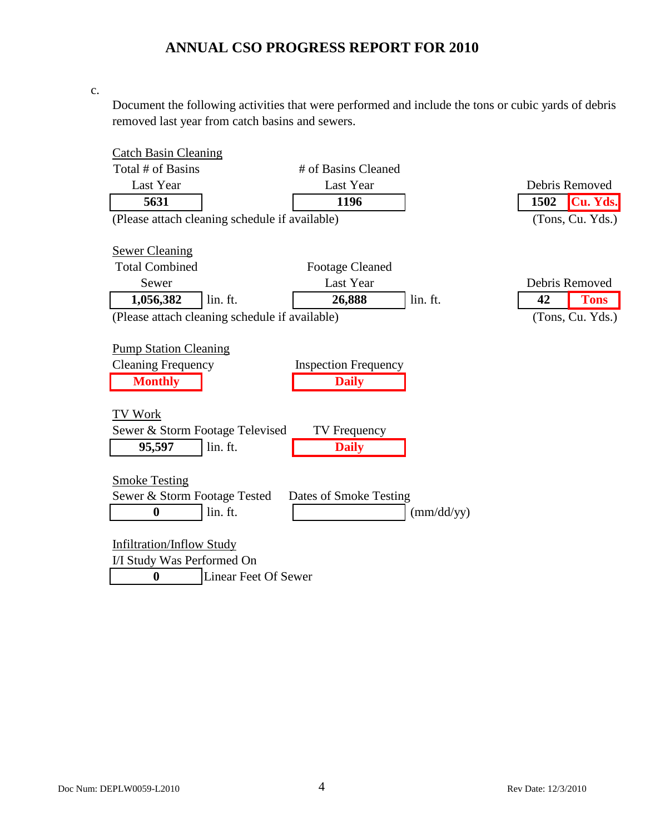c.

Document the following activities that were performed and include the tons or cubic yards of debris removed last year from catch basins and sewers.

| <b>Catch Basin Cleaning</b>                    |                      |                             |                     |                |                  |
|------------------------------------------------|----------------------|-----------------------------|---------------------|----------------|------------------|
| Total # of Basins                              |                      | # of Basins Cleaned         |                     |                |                  |
| Last Year                                      |                      | Last Year                   |                     | Debris Removed |                  |
| 5631                                           |                      | 1196                        |                     | 1502           | Cu. Yds.         |
| (Please attach cleaning schedule if available) |                      |                             |                     |                | (Tons, Cu. Yds.) |
|                                                |                      |                             |                     |                |                  |
| <b>Sewer Cleaning</b>                          |                      |                             |                     |                |                  |
| <b>Total Combined</b>                          |                      | <b>Footage Cleaned</b>      |                     |                |                  |
| Sewer                                          |                      | Last Year                   |                     | Debris Removed |                  |
| 1,056,382                                      | lin. ft.             | 26,888                      | lin. ft.            | 42             | <b>Tons</b>      |
| (Please attach cleaning schedule if available) |                      |                             |                     |                | (Tons, Cu. Yds.) |
|                                                |                      |                             |                     |                |                  |
| <b>Pump Station Cleaning</b>                   |                      |                             |                     |                |                  |
| <b>Cleaning Frequency</b>                      |                      | <b>Inspection Frequency</b> |                     |                |                  |
| <b>Monthly</b>                                 |                      | <b>Daily</b>                |                     |                |                  |
|                                                |                      |                             |                     |                |                  |
| <b>TV Work</b>                                 |                      |                             |                     |                |                  |
| Sewer & Storm Footage Televised                |                      | TV Frequency                |                     |                |                  |
| 95,597                                         | lin. ft.             | <b>Daily</b>                |                     |                |                  |
|                                                |                      |                             |                     |                |                  |
| <b>Smoke Testing</b>                           |                      |                             |                     |                |                  |
| Sewer & Storm Footage Tested                   |                      | Dates of Smoke Testing      |                     |                |                  |
| $\bf{0}$                                       | lin. ft.             |                             | $\text{(mm/dd/yy)}$ |                |                  |
|                                                |                      |                             |                     |                |                  |
| <b>Infiltration/Inflow Study</b>               |                      |                             |                     |                |                  |
| I/I Study Was Performed On                     |                      |                             |                     |                |                  |
| $\bf{0}$                                       | Linear Feet Of Sewer |                             |                     |                |                  |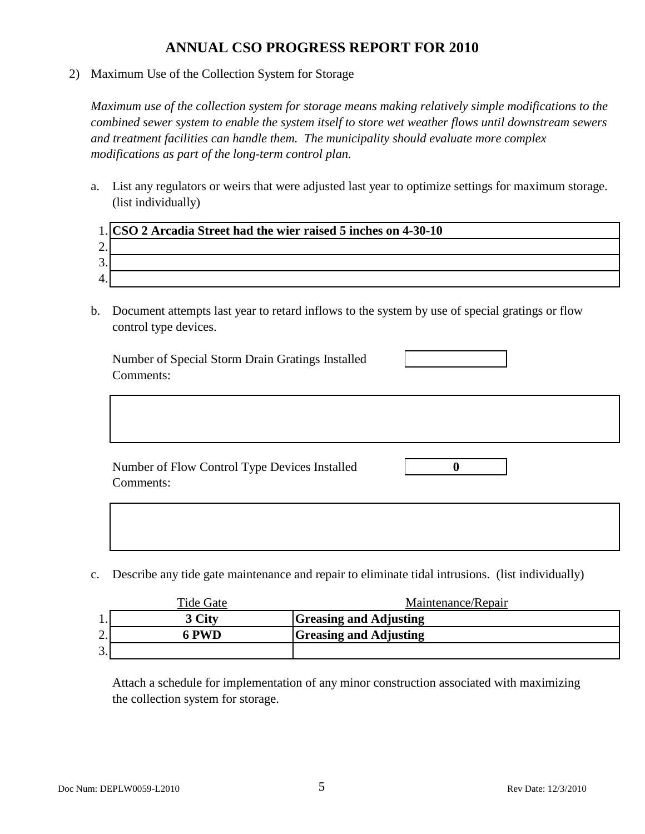2) Maximum Use of the Collection System for Storage

*Maximum use of the collection system for storage means making relatively simple modifications to the combined sewer system to enable the system itself to store wet weather flows until downstream sewers and treatment facilities can handle them. The municipality should evaluate more complex modifications as part of the long-term control plan.*

a. List any regulators or weirs that were adjusted last year to optimize settings for maximum storage. (list individually)

|         | 1. CSO 2 Arcadia Street had the wier raised 5 inches on 4-30-10 |
|---------|-----------------------------------------------------------------|
| ۷.      |                                                                 |
| ∍<br>s. |                                                                 |
|         |                                                                 |

b. Document attempts last year to retard inflows to the system by use of special gratings or flow control type devices.

Number of Special Storm Drain Gratings Installed Comments:

Number of Flow Control Type Devices Installed **0** Comments:

c. Describe any tide gate maintenance and repair to eliminate tidal intrusions. (list individually)

|                                | Tide Gate | Maintenance/Repair            |
|--------------------------------|-----------|-------------------------------|
|                                | 3 City    | <b>Greasing and Adjusting</b> |
| $\bigcap$<br><u>.</u>          | 6 PWD     | <b>Greasing and Adjusting</b> |
| $\mathcal{D}$<br>$\mathcal{L}$ |           |                               |

Attach a schedule for implementation of any minor construction associated with maximizing the collection system for storage.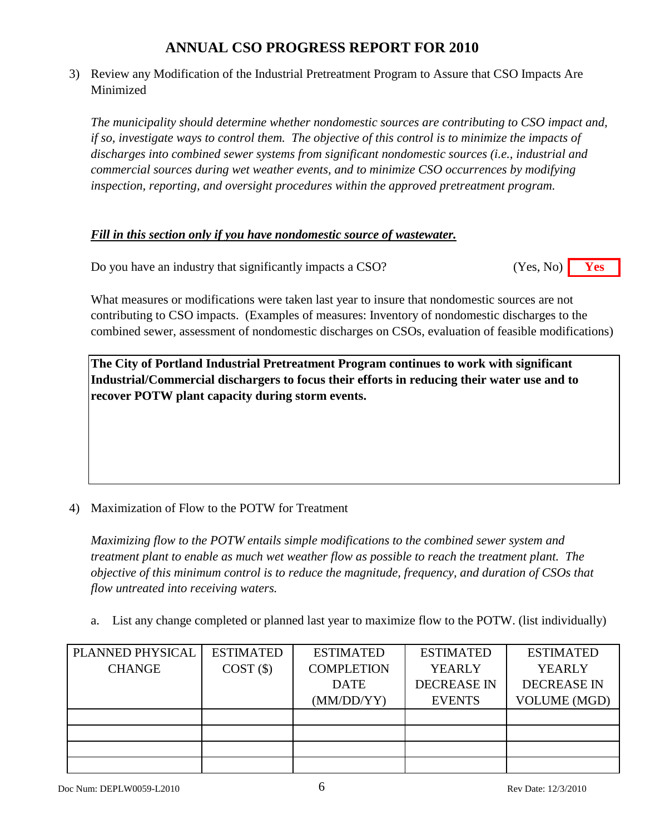3) Review any Modification of the Industrial Pretreatment Program to Assure that CSO Impacts Are Minimized

*The municipality should determine whether nondomestic sources are contributing to CSO impact and, if so, investigate ways to control them. The objective of this control is to minimize the impacts of discharges into combined sewer systems from significant nondomestic sources (i.e., industrial and commercial sources during wet weather events, and to minimize CSO occurrences by modifying inspection, reporting, and oversight procedures within the approved pretreatment program.*

### *Fill in this section only if you have nondomestic source of wastewater.*

Do you have an industry that significantly impacts a CSO? **Yes** (Yes, No) **Yes** (Yes, No)

What measures or modifications were taken last year to insure that nondomestic sources are not contributing to CSO impacts. (Examples of measures: Inventory of nondomestic discharges to the combined sewer, assessment of nondomestic discharges on CSOs, evaluation of feasible modifications)

**The City of Portland Industrial Pretreatment Program continues to work with significant Industrial/Commercial dischargers to focus their efforts in reducing their water use and to recover POTW plant capacity during storm events.**

### 4) Maximization of Flow to the POTW for Treatment

*Maximizing flow to the POTW entails simple modifications to the combined sewer system and treatment plant to enable as much wet weather flow as possible to reach the treatment plant. The objective of this minimum control is to reduce the magnitude, frequency, and duration of CSOs that flow untreated into receiving waters.*

a. List any change completed or planned last year to maximize flow to the POTW. (list individually)

| PLANNED PHYSICAL | <b>ESTIMATED</b> | <b>ESTIMATED</b>  | <b>ESTIMATED</b>   | <b>ESTIMATED</b>    |
|------------------|------------------|-------------------|--------------------|---------------------|
| <b>CHANGE</b>    | COST(S)          | <b>COMPLETION</b> | <b>YEARLY</b>      | <b>YEARLY</b>       |
|                  |                  | <b>DATE</b>       | <b>DECREASE IN</b> | <b>DECREASE IN</b>  |
|                  |                  | (MM/DD/YY)        | <b>EVENTS</b>      | <b>VOLUME (MGD)</b> |
|                  |                  |                   |                    |                     |
|                  |                  |                   |                    |                     |
|                  |                  |                   |                    |                     |
|                  |                  |                   |                    |                     |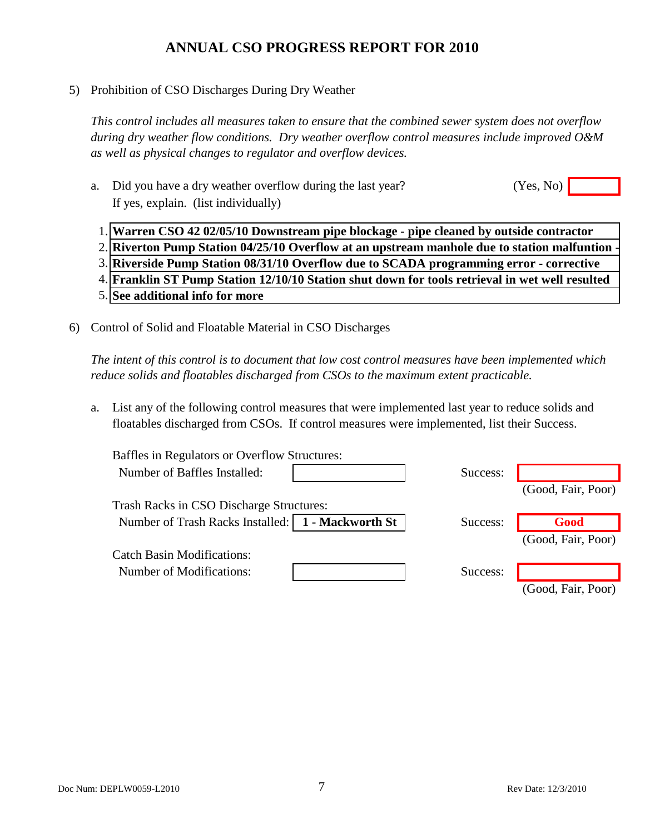5) Prohibition of CSO Discharges During Dry Weather

*This control includes all measures taken to ensure that the combined sewer system does not overflow during dry weather flow conditions. Dry weather overflow control measures include improved O&M as well as physical changes to regulator and overflow devices.*

- a. Did you have a dry weather overflow during the last year? If yes, explain. (list individually)  $(Yes, No)$ 
	- 1. **Warren CSO 42 02/05/10 Downstream pipe blockage pipe cleaned by outside contractor**
	- 2. **Riverton Pump Station 04/25/10 Overflow at an upstream manhole due to station malfuntion**
	- 3. **Riverside Pump Station 08/31/10 Overflow due to SCADA programming error corrective**
	- 4. **Franklin ST Pump Station 12/10/10 Station shut down for tools retrieval in wet well resulted**
	- 5. **See additional info for more**
- 6) Control of Solid and Floatable Material in CSO Discharges

*The intent of this control is to document that low cost control measures have been implemented which reduce solids and floatables discharged from CSOs to the maximum extent practicable.*

a. List any of the following control measures that were implemented last year to reduce solids and floatables discharged from CSOs. If control measures were implemented, list their Success.

| Baffles in Regulators or Overflow Structures:       |          |                    |
|-----------------------------------------------------|----------|--------------------|
| Number of Baffles Installed:                        | Success: |                    |
|                                                     |          | (Good, Fair, Poor) |
| Trash Racks in CSO Discharge Structures:            |          |                    |
| Number of Trash Racks Installed:   1 - Mackworth St | Success: | Good               |
|                                                     |          | (Good, Fair, Poor) |
| <b>Catch Basin Modifications:</b>                   |          |                    |
| Number of Modifications:                            | Success: |                    |
|                                                     |          | (Good, Fair, Poor) |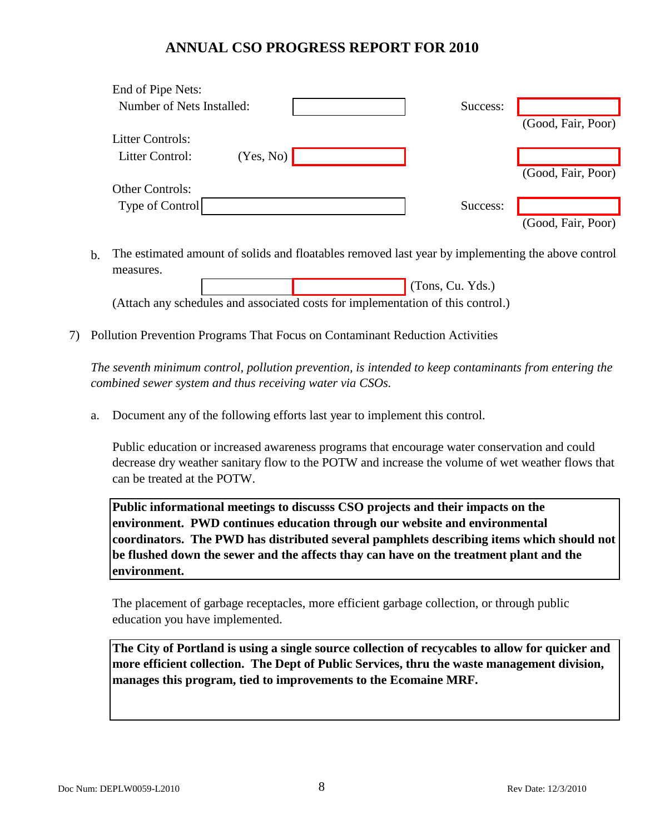| End of Pipe Nets:         |           |          |                    |
|---------------------------|-----------|----------|--------------------|
| Number of Nets Installed: |           | Success: |                    |
|                           |           |          | (Good, Fair, Poor) |
| <b>Litter Controls:</b>   |           |          |                    |
| Litter Control:           | (Yes, No) |          |                    |
|                           |           |          | (Good, Fair, Poor) |
| <b>Other Controls:</b>    |           |          |                    |
| Type of Control           |           | Success: |                    |
|                           |           |          | (Good, Fair, Poor) |

b. The estimated amount of solids and floatables removed last year by implementing the above control measures.

 (Tons, Cu. Yds.) (Attach any schedules and associated costs for implementation of this control.)

7) Pollution Prevention Programs That Focus on Contaminant Reduction Activities

*The seventh minimum control, pollution prevention, is intended to keep contaminants from entering the combined sewer system and thus receiving water via CSOs.*

a. Document any of the following efforts last year to implement this control.

Public education or increased awareness programs that encourage water conservation and could decrease dry weather sanitary flow to the POTW and increase the volume of wet weather flows that can be treated at the POTW.

**Public informational meetings to discusss CSO projects and their impacts on the environment. PWD continues education through our website and environmental coordinators. The PWD has distributed several pamphlets describing items which should not be flushed down the sewer and the affects thay can have on the treatment plant and the environment.**

The placement of garbage receptacles, more efficient garbage collection, or through public education you have implemented.

**The City of Portland is using a single source collection of recycables to allow for quicker and more efficient collection. The Dept of Public Services, thru the waste management division, manages this program, tied to improvements to the Ecomaine MRF.**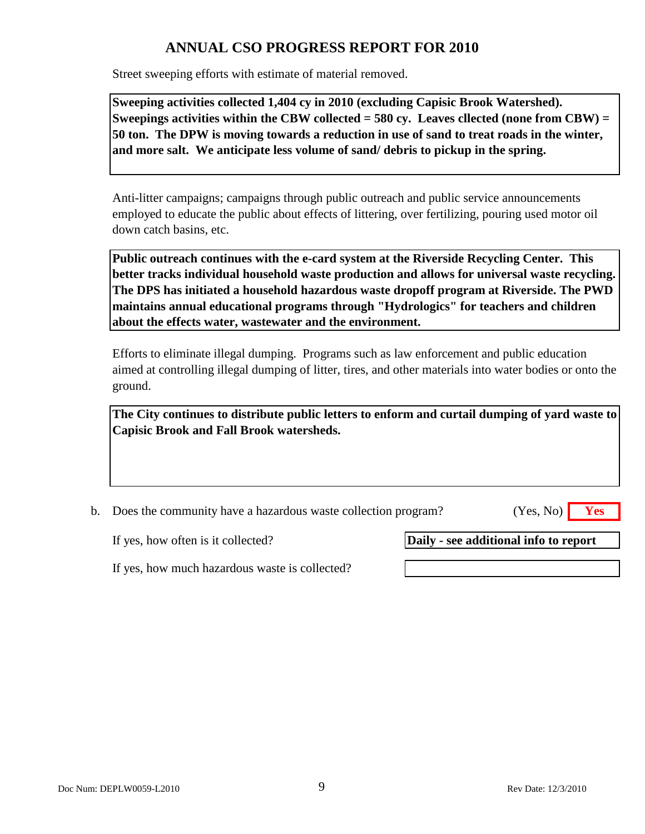Street sweeping efforts with estimate of material removed.

**Sweeping activities collected 1,404 cy in 2010 (excluding Capisic Brook Watershed). Sweepings activities within the CBW collected = 580 cy. Leaves cllected (none from CBW) = 50 ton. The DPW is moving towards a reduction in use of sand to treat roads in the winter, and more salt. We anticipate less volume of sand/ debris to pickup in the spring.**

Anti-litter campaigns; campaigns through public outreach and public service announcements employed to educate the public about effects of littering, over fertilizing, pouring used motor oil down catch basins, etc.

**Public outreach continues with the e-card system at the Riverside Recycling Center. This better tracks individual household waste production and allows for universal waste recycling. The DPS has initiated a household hazardous waste dropoff program at Riverside. The PWD maintains annual educational programs through "Hydrologics" for teachers and children about the effects water, wastewater and the environment.**

Efforts to eliminate illegal dumping. Programs such as law enforcement and public education aimed at controlling illegal dumping of litter, tires, and other materials into water bodies or onto the ground.

**The City continues to distribute public letters to enform and curtail dumping of yard waste to Capisic Brook and Fall Brook watersheds.**

b. Does the community have a hazardous waste collection program? **Yes**

(Yes, No)

If yes, how often is it collected?

**Daily - see additional info to report**

If yes, how much hazardous waste is collected?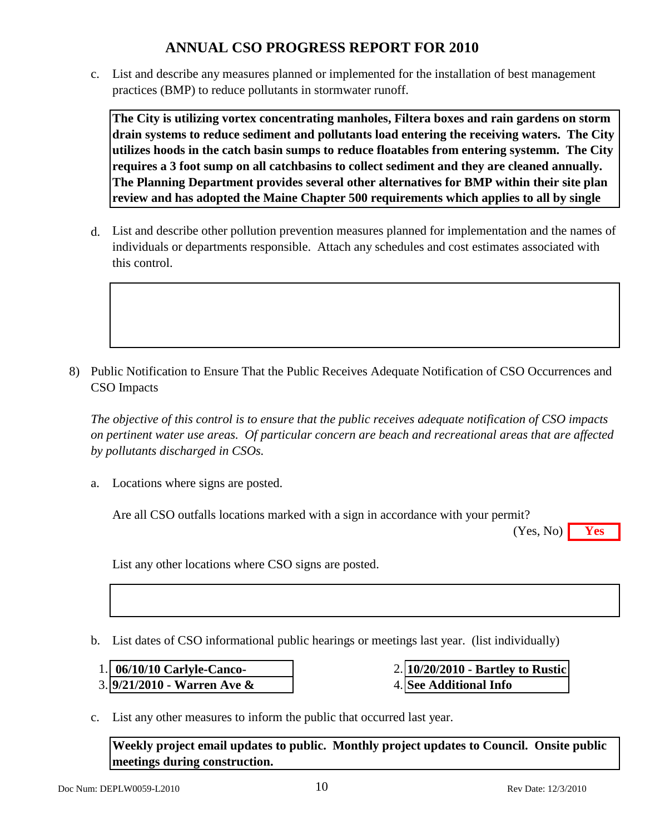c. List and describe any measures planned or implemented for the installation of best management practices (BMP) to reduce pollutants in stormwater runoff.

**The City is utilizing vortex concentrating manholes, Filtera boxes and rain gardens on storm drain systems to reduce sediment and pollutants load entering the receiving waters. The City utilizes hoods in the catch basin sumps to reduce floatables from entering systemm. The City requires a 3 foot sump on all catchbasins to collect sediment and they are cleaned annually. The Planning Department provides several other alternatives for BMP within their site plan review and has adopted the Maine Chapter 500 requirements which applies to all by single** 

d. List and describe other pollution prevention measures planned for implementation and the names of individuals or departments responsible. Attach any schedules and cost estimates associated with this control.

8) Public Notification to Ensure That the Public Receives Adequate Notification of CSO Occurrences and CSO Impacts

*The objective of this control is to ensure that the public receives adequate notification of CSO impacts on pertinent water use areas. Of particular concern are beach and recreational areas that are affected by pollutants discharged in CSOs.*

a. Locations where signs are posted.

Are all CSO outfalls locations marked with a sign in accordance with your permit?

**Yes** (Yes, No)

List any other locations where CSO signs are posted.

b. List dates of CSO informational public hearings or meetings last year. (list individually)

- 1. **06/10/10 Carlyle-Canco-** 2.
- 3. 4. **9/21/2010 Warren Ave &**
- **10/20/2010 Bartley to Rustic See Additional Info**
- c. List any other measures to inform the public that occurred last year.

**Weekly project email updates to public. Monthly project updates to Council. Onsite public meetings during construction.**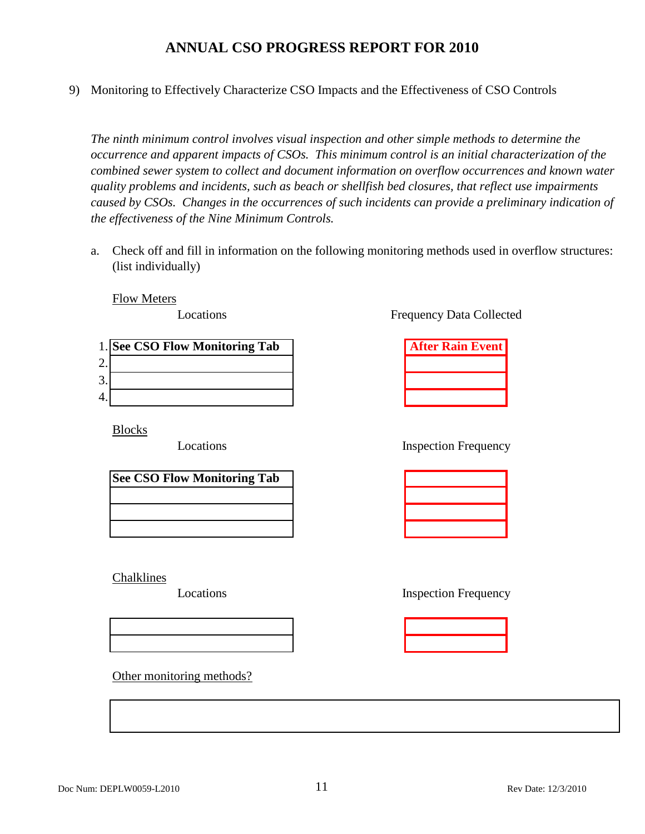9) Monitoring to Effectively Characterize CSO Impacts and the Effectiveness of CSO Controls

*The ninth minimum control involves visual inspection and other simple methods to determine the occurrence and apparent impacts of CSOs. This minimum control is an initial characterization of the combined sewer system to collect and document information on overflow occurrences and known water quality problems and incidents, such as beach or shellfish bed closures, that reflect use impairments caused by CSOs. Changes in the occurrences of such incidents can provide a preliminary indication of the effectiveness of the Nine Minimum Controls.*

a. Check off and fill in information on the following monitoring methods used in overflow structures: (list individually)

Flow Meters

Locations

|                      | 1. See CSO Flow Monitoring Tab | <b>After Rain Event</b> |
|----------------------|--------------------------------|-------------------------|
| ⌒<br><u>L</u> .      |                                |                         |
| ⌒<br>$\mathfrak{I}.$ |                                |                         |
| 4.                   |                                |                         |

Blocks

Locations

| <b>See CSO Flow Monitoring Tab</b> |  |
|------------------------------------|--|
|                                    |  |
|                                    |  |
|                                    |  |

Chalklines

Locations

Other monitoring methods?

Frequency Data Collected

| <b>After Rain Event</b> |  |  |
|-------------------------|--|--|
|                         |  |  |
|                         |  |  |
|                         |  |  |

Inspection Frequency

Inspection Frequency

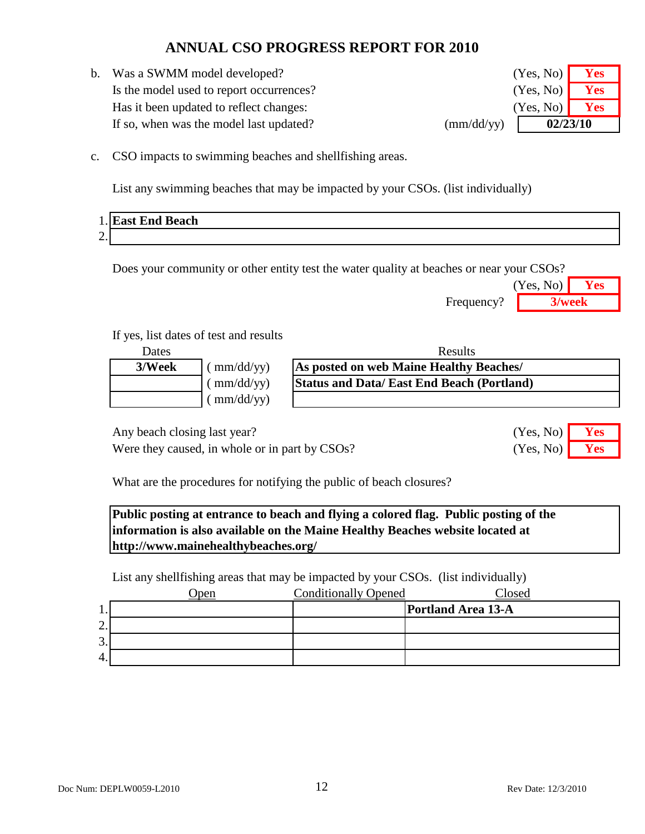b. Was a SWMM model developed? **Yes** (Yes, No) **Yes** Is the model used to report occurrences? **Yes** (Yes, No) **Yes** Has it been updated to reflect changes: *Yes* (Yes, No) **Yes** If so, when was the model last updated?  $\text{(mm/dd/yy)}$ 

**02/23/10** (Yes, No) (Yes, No) (Yes, No)

c. CSO impacts to swimming beaches and shellfishing areas.

List any swimming beaches that may be impacted by your CSOs. (list individually)

|                                    | <b>End Beach</b><br>$H^{\bullet}$<br>. .<br>ası — |
|------------------------------------|---------------------------------------------------|
| $\sim$<br>$\overline{\phantom{a}}$ |                                                   |

Does your community or other entity test the water quality at beaches or near your CSOs?

|            | (Yes, No) | <b>Yes</b> |
|------------|-----------|------------|
| Frequency? | 3/week    |            |

(Yes, No) (Yes, No)

### If yes, list dates of test and results

| Dates  |                               | <b>Results</b>                                   |  |
|--------|-------------------------------|--------------------------------------------------|--|
| 3/Week | (mm/dd/yy)                    | As posted on web Maine Healthy Beaches/          |  |
|        | $\frac{\text{mm}}{\text{dd}}$ | <b>Status and Data/East End Beach (Portland)</b> |  |
|        | $\frac{\text{m}}{\text{d}}$   |                                                  |  |

Any beach closing last year? **Yes** No. 2014

Were they caused, in whole or in part by CSOs? (Yes, No) **Yes** 

What are the procedures for notifying the public of beach closures?

**Public posting at entrance to beach and flying a colored flag. Public posting of the information is also available on the Maine Healthy Beaches website located at http://www.mainehealthybeaches.org/**

List any shellfishing areas that may be impacted by your CSOs. (list individually)

|         | pen | <b>Conditionally Opened</b> | <b>Posed</b>              |
|---------|-----|-----------------------------|---------------------------|
| д.,     |     |                             | <b>Portland Area 13-A</b> |
| ⌒<br>٠. |     |                             |                           |
| 3.      |     |                             |                           |
| 4.      |     |                             |                           |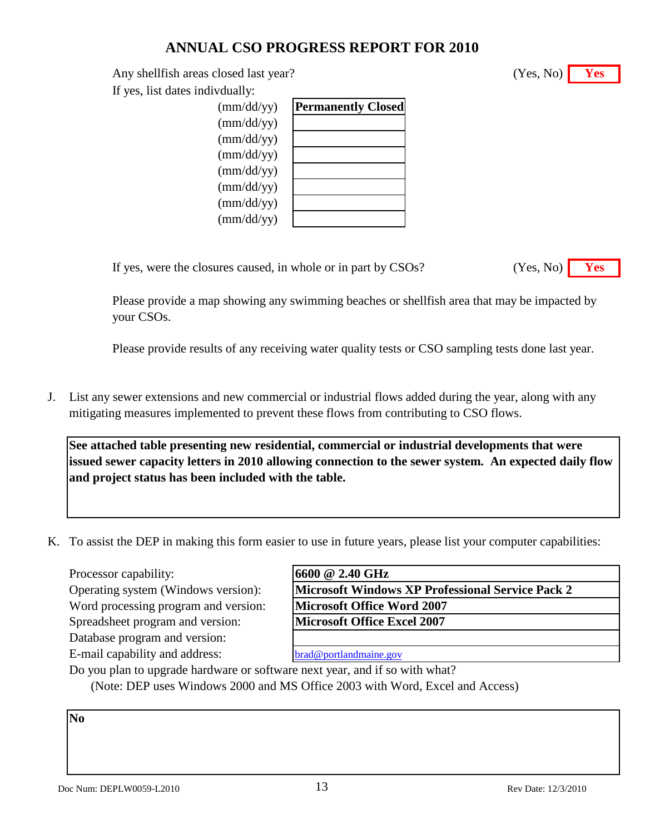Any shellfish areas closed last year? **Yes** (Yes, No) **Yes** 

If yes, list dates indivdually:

| $\text{(mm/dd/yy)}$ | <b>Permanently Closed</b> |
|---------------------|---------------------------|
| $\text{(mm/dd/yy)}$ |                           |
| $\text{(mm/dd/yy)}$ |                           |
| $\text{(mm/dd/yy)}$ |                           |
| $\text{(mm/dd/yy)}$ |                           |
| $\text{(mm/dd/yy)}$ |                           |
| $\text{(mm/dd/yy)}$ |                           |
| $\text{(mm/dd/yy)}$ |                           |
|                     |                           |

If yes, were the closures caused, in whole or in part by CSOs?

| Yes. No) |  |
|----------|--|
|          |  |

Please provide a map showing any swimming beaches or shellfish area that may be impacted by your CSOs.

Please provide results of any receiving water quality tests or CSO sampling tests done last year.

J. List any sewer extensions and new commercial or industrial flows added during the year, along with any mitigating measures implemented to prevent these flows from contributing to CSO flows.

**See attached table presenting new residential, commercial or industrial developments that were issued sewer capacity letters in 2010 allowing connection to the sewer system. An expected daily flow and project status has been included with the table.**

K. To assist the DEP in making this form easier to use in future years, please list your computer capabilities:

Processor capability:

Operating system (Windows version): Word processing program and version: Spreadsheet program and version:

Database program and version:

E-mail capability and address:

| 16600 @ 2.40 GHz                                        |  |
|---------------------------------------------------------|--|
| <b>Microsoft Windows XP Professional Service Pack 2</b> |  |
| <b>Microsoft Office Word 2007</b>                       |  |
| <b>Microsoft Office Excel 2007</b>                      |  |

[brad@portlandmaine.gov](mailto:brad@portlandmaine.gov)

Do you plan to upgrade hardware or software next year, and if so with what? (Note: DEP uses Windows 2000 and MS Office 2003 with Word, Excel and Access)

**No**

(Yes, No)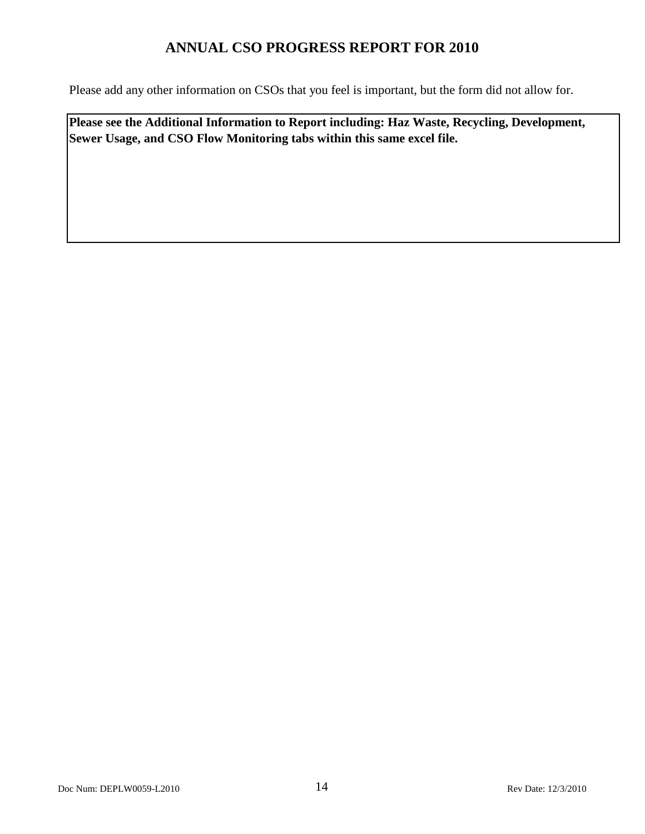Please add any other information on CSOs that you feel is important, but the form did not allow for.

**Please see the Additional Information to Report including: Haz Waste, Recycling, Development, Sewer Usage, and CSO Flow Monitoring tabs within this same excel file.**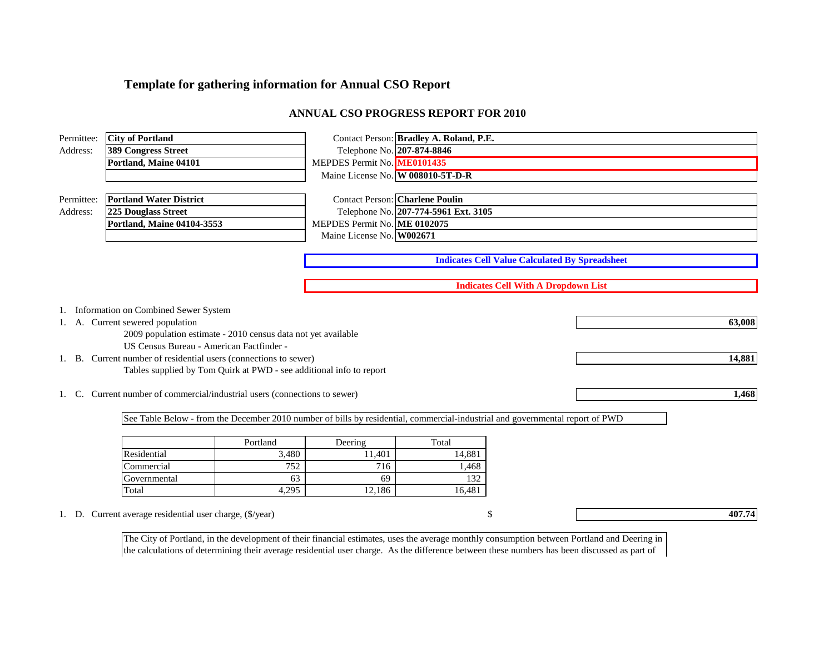### **Template for gathering information for Annual CSO Report**

### **ANNUAL CSO PROGRESS REPORT FOR 2010**

| Permittee:             | <b>City of Portland</b>                                              |                                                                     |                                                                                | Contact Person: Bradley A. Roland, P.E. |                                                                                                                               |        |  |  |
|------------------------|----------------------------------------------------------------------|---------------------------------------------------------------------|--------------------------------------------------------------------------------|-----------------------------------------|-------------------------------------------------------------------------------------------------------------------------------|--------|--|--|
| Address:               | <b>389 Congress Street</b>                                           |                                                                     | Telephone No. 207-874-8846                                                     |                                         |                                                                                                                               |        |  |  |
|                        | Portland, Maine 04101                                                |                                                                     | MEPDES Permit No. ME0101435                                                    |                                         |                                                                                                                               |        |  |  |
|                        |                                                                      |                                                                     | Maine License No. W 008010-5T-D-R                                              |                                         |                                                                                                                               |        |  |  |
|                        |                                                                      |                                                                     |                                                                                |                                         |                                                                                                                               |        |  |  |
| Permittee:<br>Address: | <b>Portland Water District</b><br>225 Douglass Street                |                                                                     | <b>Contact Person: Charlene Poulin</b><br>Telephone No. 207-774-5961 Ext. 3105 |                                         |                                                                                                                               |        |  |  |
|                        | Portland, Maine 04104-3553                                           |                                                                     | MEPDES Permit No. ME 0102075                                                   |                                         |                                                                                                                               |        |  |  |
|                        |                                                                      |                                                                     | Maine License No. W002671                                                      |                                         |                                                                                                                               |        |  |  |
|                        |                                                                      |                                                                     |                                                                                |                                         |                                                                                                                               |        |  |  |
|                        |                                                                      |                                                                     |                                                                                |                                         | <b>Indicates Cell Value Calculated By Spreadsheet</b>                                                                         |        |  |  |
|                        |                                                                      |                                                                     |                                                                                |                                         | <b>Indicates Cell With A Dropdown List</b>                                                                                    |        |  |  |
|                        |                                                                      |                                                                     |                                                                                |                                         |                                                                                                                               |        |  |  |
|                        | 1. Information on Combined Sewer System                              |                                                                     |                                                                                |                                         |                                                                                                                               |        |  |  |
|                        | 1. A. Current sewered population                                     |                                                                     |                                                                                |                                         |                                                                                                                               | 63,008 |  |  |
|                        |                                                                      | 2009 population estimate - 2010 census data not yet available       |                                                                                |                                         |                                                                                                                               |        |  |  |
|                        | US Census Bureau - American Factfinder -                             |                                                                     |                                                                                |                                         |                                                                                                                               |        |  |  |
|                        | 1. B. Current number of residential users (connections to sewer)     |                                                                     |                                                                                |                                         |                                                                                                                               | 14,881 |  |  |
|                        |                                                                      | Tables supplied by Tom Quirk at PWD - see additional info to report |                                                                                |                                         |                                                                                                                               |        |  |  |
| 1. C.                  | Current number of commercial/industrial users (connections to sewer) |                                                                     |                                                                                |                                         |                                                                                                                               | 1,468  |  |  |
|                        |                                                                      |                                                                     |                                                                                |                                         |                                                                                                                               |        |  |  |
|                        |                                                                      |                                                                     |                                                                                |                                         | See Table Below - from the December 2010 number of bills by residential, commercial-industrial and governmental report of PWD |        |  |  |
|                        |                                                                      |                                                                     |                                                                                |                                         |                                                                                                                               |        |  |  |
|                        |                                                                      | Portland                                                            | Deering                                                                        | Total                                   |                                                                                                                               |        |  |  |
|                        | Residential                                                          | 3,480                                                               | 11.401                                                                         | 14.881                                  |                                                                                                                               |        |  |  |
|                        | Commercial                                                           | 752                                                                 | 716                                                                            | 1,468                                   |                                                                                                                               |        |  |  |
|                        | Governmental                                                         | 63                                                                  | 69                                                                             | 132                                     |                                                                                                                               |        |  |  |
|                        | Total                                                                | 4,295                                                               | 12,186                                                                         | 16,481                                  |                                                                                                                               |        |  |  |
|                        | 1. D. Current average residential user charge, (\$/year)             |                                                                     |                                                                                |                                         | \$                                                                                                                            | 407.74 |  |  |
|                        |                                                                      |                                                                     |                                                                                |                                         |                                                                                                                               |        |  |  |

The City of Portland, in the development of their financial estimates, uses the average monthly consumption between Portland and Deering in the calculations of determining their average residential user charge. As the difference between these numbers has been discussed as part of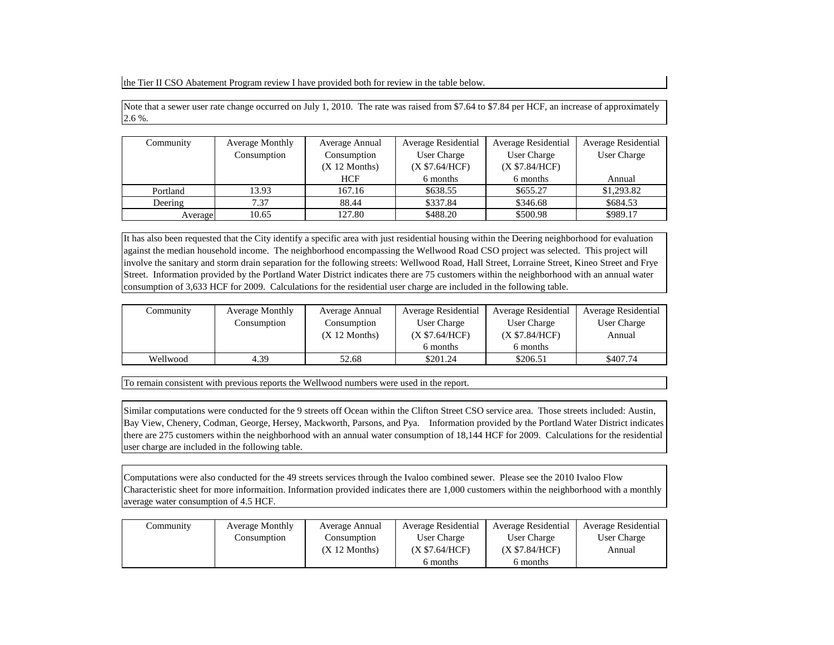the Tier II CSO Abatement Program review I have provided both for review in the table below.

Note that a sewer user rate change occurred on July 1, 2010. The rate was raised from \$7.64 to \$7.84 per HCF, an increase of approximately 2.6 %.

| Community | <b>Average Monthly</b> | Average Residential<br>Average Annual |                            | <b>Average Residential</b> | Average Residential |
|-----------|------------------------|---------------------------------------|----------------------------|----------------------------|---------------------|
|           | Consumption            | Consumption                           | User Charge<br>User Charge |                            | User Charge         |
|           |                        | $(X 12$ Months)                       | (X \$7.64/HCF)             | (X \$7.84/HCF)             |                     |
|           |                        | <b>HCF</b>                            | 6 months                   | 6 months                   | Annual              |
| Portland  | 13.93                  | 167.16                                | \$638.55                   | \$655.27                   | \$1,293.82          |
| Deering   | 7.37                   | 88.44                                 | \$337.84                   | \$346.68                   | \$684.53            |
| Average   | 10.65                  | 127.80                                | \$488.20                   | \$500.98                   | \$989.17            |

It has also been requested that the City identify a specific area with just residential housing within the Deering neighborhood for evaluation against the median household income. The neighborhood encompassing the Wellwood Road CSO project was selected. This project will involve the sanitary and storm drain separation for the following streets: Wellwood Road, Hall Street, Lorraine Street, Kineo Street and Frye Street. Information provided by the Portland Water District indicates there are 75 customers within the neighborhood with an annual water consumption of 3,633 HCF for 2009. Calculations for the residential user charge are included in the following table.

| Community | <b>Average Monthly</b> | Average Annual  | Average Residential | <b>Average Residential</b> | <b>Average Residential</b> |
|-----------|------------------------|-----------------|---------------------|----------------------------|----------------------------|
|           | Consumption            | Consumption     | User Charge         | User Charge                | User Charge                |
|           |                        | $(X 12$ Months) | (X \$7.64/HCF)      | (X \$7.84/HCF)             | Annual                     |
|           |                        |                 | 6 months            | 6 months                   |                            |
| Wellwood  | 4.39                   | 52.68           | \$201.24            | \$206.51                   | \$407.74                   |

To remain consistent with previous reports the Wellwood numbers were used in the report.

Similar computations were conducted for the 9 streets off Ocean within the Clifton Street CSO service area. Those streets included: Austin, Bay View, Chenery, Codman, George, Hersey, Mackworth, Parsons, and Pya. Information provided by the Portland Water District indicates there are 275 customers within the neighborhood with an annual water consumption of 18,144 HCF for 2009. Calculations for the residential user charge are included in the following table.

Computations were also conducted for the 49 streets services through the Ivaloo combined sewer. Please see the 2010 Ivaloo Flow Characteristic sheet for more informaition. Information provided indicates there are 1,000 customers within the neighborhood with a monthly average water consumption of 4.5 HCF.

| Community | <b>Average Monthly</b> | Average Annual  | Average Residential | <b>Average Residential</b> | Average Residential |
|-----------|------------------------|-----------------|---------------------|----------------------------|---------------------|
|           | Consumption            | Consumption     | User Charge         | User Charge                | User Charge         |
|           |                        | $(X 12$ Months) | (X \$7.64/HCF)      | (X \$7.84/HCF)             | Annual              |
|           |                        |                 | 6 months            | 6 months                   |                     |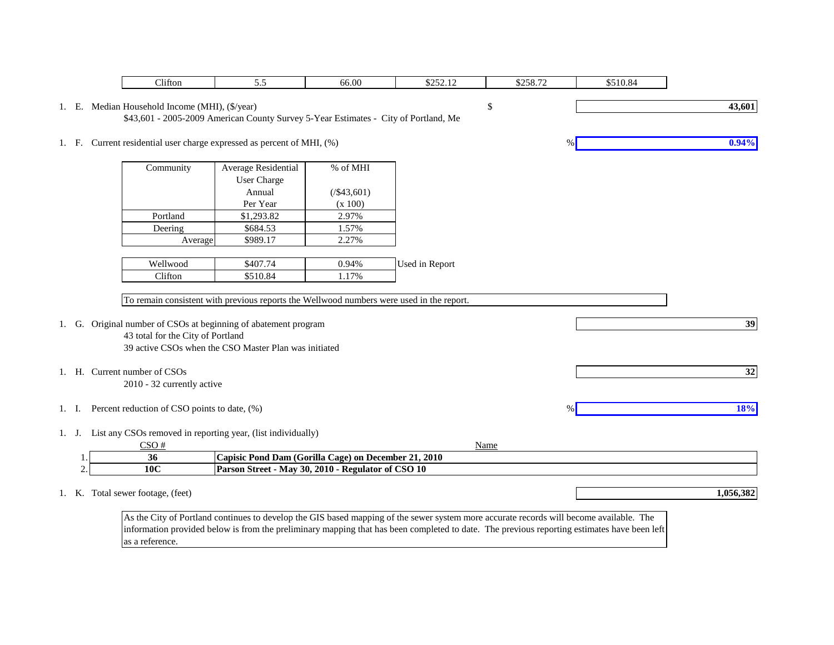|    | Clifton                                            | 5.5                                                                                                                                         | 66.00              | \$252.12       | \$258.72 | \$510.84 |           |
|----|----------------------------------------------------|---------------------------------------------------------------------------------------------------------------------------------------------|--------------------|----------------|----------|----------|-----------|
|    | 1. E. Median Household Income (MHI), (\$/year)     |                                                                                                                                             |                    |                | \$       |          | 43,601    |
|    |                                                    | \$43,601 - 2005-2009 American County Survey 5-Year Estimates - City of Portland, Me                                                         |                    |                |          |          |           |
|    |                                                    |                                                                                                                                             |                    |                |          |          |           |
|    |                                                    | 1. F. Current residential user charge expressed as percent of MHI, (%)                                                                      |                    |                |          |          | 0.94%     |
|    |                                                    |                                                                                                                                             |                    |                |          |          |           |
|    | Community                                          | Average Residential                                                                                                                         | % of MHI           |                |          |          |           |
|    |                                                    | User Charge                                                                                                                                 |                    |                |          |          |           |
|    |                                                    | Annual                                                                                                                                      | $(\frac{$43,601}{$ |                |          |          |           |
|    |                                                    | Per Year                                                                                                                                    | (x 100)            |                |          |          |           |
|    | Portland                                           | \$1,293.82                                                                                                                                  | 2.97%              |                |          |          |           |
|    | Deering                                            | \$684.53                                                                                                                                    | 1.57%              |                |          |          |           |
|    | Average                                            | \$989.17                                                                                                                                    | 2.27%              |                |          |          |           |
|    |                                                    |                                                                                                                                             |                    |                |          |          |           |
|    | Wellwood                                           | \$407.74                                                                                                                                    | 0.94%              | Used in Report |          |          |           |
|    | Clifton                                            | \$510.84                                                                                                                                    | 1.17%              |                |          |          |           |
|    |                                                    | To remain consistent with previous reports the Wellwood numbers were used in the report.                                                    |                    |                |          |          |           |
|    |                                                    |                                                                                                                                             |                    |                |          |          |           |
|    |                                                    | 1. G. Original number of CSOs at beginning of abatement program                                                                             |                    |                |          |          | 39        |
|    | 43 total for the City of Portland                  |                                                                                                                                             |                    |                |          |          |           |
|    |                                                    | 39 active CSOs when the CSO Master Plan was initiated                                                                                       |                    |                |          |          |           |
|    |                                                    |                                                                                                                                             |                    |                |          |          |           |
|    | 1. H. Current number of CSOs                       |                                                                                                                                             |                    |                |          |          | 32        |
|    | 2010 - 32 currently active                         |                                                                                                                                             |                    |                |          |          |           |
|    |                                                    |                                                                                                                                             |                    |                |          |          | 18%       |
|    | 1. I. Percent reduction of CSO points to date, (%) |                                                                                                                                             |                    |                | $\%$     |          |           |
|    |                                                    | 1. J. List any CSOs removed in reporting year, (list individually)                                                                          |                    |                |          |          |           |
|    | CSO#                                               |                                                                                                                                             |                    |                | Name     |          |           |
| 1. | 36                                                 | Capisic Pond Dam (Gorilla Cage) on December 21, 2010                                                                                        |                    |                |          |          |           |
| 2. | 10C                                                | Parson Street - May 30, 2010 - Regulator of CSO 10                                                                                          |                    |                |          |          |           |
|    |                                                    |                                                                                                                                             |                    |                |          |          |           |
|    | 1. K. Total sewer footage, (feet)                  |                                                                                                                                             |                    |                |          |          | 1,056,382 |
|    |                                                    |                                                                                                                                             |                    |                |          |          |           |
|    |                                                    | As the City of Portland continues to develop the GIS based mapping of the sewer system more accurate records will become available. The     |                    |                |          |          |           |
|    |                                                    | information provided below is from the preliminary mapping that has been completed to date. The previous reporting estimates have been left |                    |                |          |          |           |

as a reference.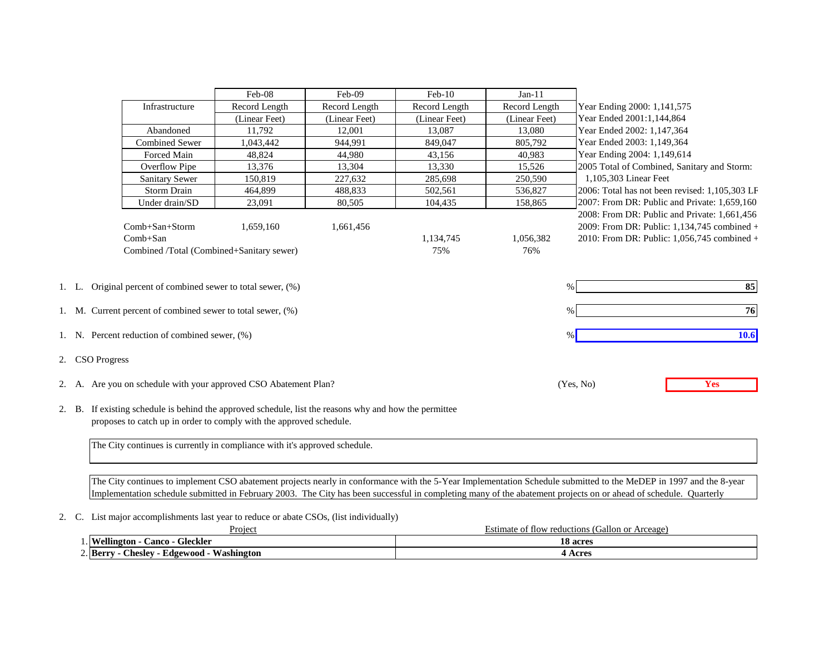|                                                                                                                                     |                                                                                                                                                                                  |                                                                            | Feb-08        | Feb-09        | $Feb-10$         | $Jan-11$         |                                                                                                                                                                                                                                                                                                                                        |  |
|-------------------------------------------------------------------------------------------------------------------------------------|----------------------------------------------------------------------------------------------------------------------------------------------------------------------------------|----------------------------------------------------------------------------|---------------|---------------|------------------|------------------|----------------------------------------------------------------------------------------------------------------------------------------------------------------------------------------------------------------------------------------------------------------------------------------------------------------------------------------|--|
|                                                                                                                                     |                                                                                                                                                                                  | Infrastructure                                                             | Record Length | Record Length | Record Length    | Record Length    | Year Ending 2000: 1,141,575                                                                                                                                                                                                                                                                                                            |  |
|                                                                                                                                     |                                                                                                                                                                                  |                                                                            | (Linear Feet) | (Linear Feet) | (Linear Feet)    | (Linear Feet)    | Year Ended 2001:1,144,864                                                                                                                                                                                                                                                                                                              |  |
|                                                                                                                                     |                                                                                                                                                                                  | Abandoned                                                                  | 11,792        | 12.001        | 13,087           | 13,080           | Year Ended 2002: 1,147,364                                                                                                                                                                                                                                                                                                             |  |
|                                                                                                                                     |                                                                                                                                                                                  | <b>Combined Sewer</b>                                                      | 1,043,442     | 944,991       | 849,047          | 805,792          | Year Ended 2003: 1,149,364                                                                                                                                                                                                                                                                                                             |  |
|                                                                                                                                     |                                                                                                                                                                                  |                                                                            |               |               |                  |                  |                                                                                                                                                                                                                                                                                                                                        |  |
|                                                                                                                                     |                                                                                                                                                                                  | Forced Main                                                                | 48,824        | 44,980        | 43,156           | 40,983           | Year Ending 2004: 1,149,614                                                                                                                                                                                                                                                                                                            |  |
|                                                                                                                                     |                                                                                                                                                                                  | Overflow Pipe                                                              | 13,376        | 13,304        | 13,330           | 15,526           | 2005 Total of Combined, Sanitary and Storm:                                                                                                                                                                                                                                                                                            |  |
|                                                                                                                                     |                                                                                                                                                                                  | <b>Sanitary Sewer</b>                                                      | 150.819       | 227.632       | 285,698          | 250,590          | 1,105,303 Linear Feet                                                                                                                                                                                                                                                                                                                  |  |
|                                                                                                                                     |                                                                                                                                                                                  | <b>Storm Drain</b>                                                         | 464,899       | 488,833       | 502,561          | 536,827          | 2006: Total has not been revised: 1,105,303 LF                                                                                                                                                                                                                                                                                         |  |
|                                                                                                                                     |                                                                                                                                                                                  | Under drain/SD                                                             | 23,091        | 80,505        | 104,435          | 158,865          | 2007: From DR: Public and Private: 1,659,160                                                                                                                                                                                                                                                                                           |  |
|                                                                                                                                     |                                                                                                                                                                                  | Comb+San+Storm<br>Comb+San<br>Combined /Total (Combined+Sanitary sewer)    | 1,659,160     | 1,661,456     | 1,134,745<br>75% | 1,056,382<br>76% | 2008: From DR: Public and Private: 1,661,456<br>2009: From DR: Public: 1,134,745 combined +<br>2010: From DR: Public: 1,056,745 combined +                                                                                                                                                                                             |  |
| 1. L. Original percent of combined sewer to total sewer, (%)<br>$\%$<br>1. M. Current percent of combined sewer to total sewer, (%) |                                                                                                                                                                                  |                                                                            |               |               |                  |                  | 85<br>76                                                                                                                                                                                                                                                                                                                               |  |
|                                                                                                                                     |                                                                                                                                                                                  | 1. N. Percent reduction of combined sewer, (%)                             |               |               |                  |                  | 10.6                                                                                                                                                                                                                                                                                                                                   |  |
|                                                                                                                                     | 2. CSO Progress                                                                                                                                                                  |                                                                            |               |               |                  |                  |                                                                                                                                                                                                                                                                                                                                        |  |
|                                                                                                                                     |                                                                                                                                                                                  | 2. A. Are you on schedule with your approved CSO Abatement Plan?           |               |               |                  |                  | (Yes, No)<br>Yes                                                                                                                                                                                                                                                                                                                       |  |
|                                                                                                                                     | If existing schedule is behind the approved schedule, list the reasons why and how the permittee<br>2. B.<br>proposes to catch up in order to comply with the approved schedule. |                                                                            |               |               |                  |                  |                                                                                                                                                                                                                                                                                                                                        |  |
|                                                                                                                                     |                                                                                                                                                                                  | The City continues is currently in compliance with it's approved schedule. |               |               |                  |                  |                                                                                                                                                                                                                                                                                                                                        |  |
|                                                                                                                                     |                                                                                                                                                                                  |                                                                            |               |               |                  |                  | The City continues to implement CSO abatement projects nearly in conformance with the 5-Year Implementation Schedule submitted to the MeDEP in 1997 and the 8-year<br>Implementation schedule submitted in February 2003. The City has been successful in completing many of the abatement projects on or ahead of schedule. Quarterly |  |
|                                                                                                                                     |                                                                                                                                                                                  |                                                                            |               |               |                  |                  |                                                                                                                                                                                                                                                                                                                                        |  |

2. C. List major accomplishments last year to reduce or abate CSOs, (list individually)

| Proieci                                                           | Arceage<br>allon or<br>t flow reductions (<br>Estimate of |
|-------------------------------------------------------------------|-----------------------------------------------------------|
| ellington<br><b>Gleckler</b><br>`anco                             | <b>18 acres</b>                                           |
| $\angle$ . Berry<br>$- - -$<br>Washington<br>.`heslev<br>Edgewood | . Acres                                                   |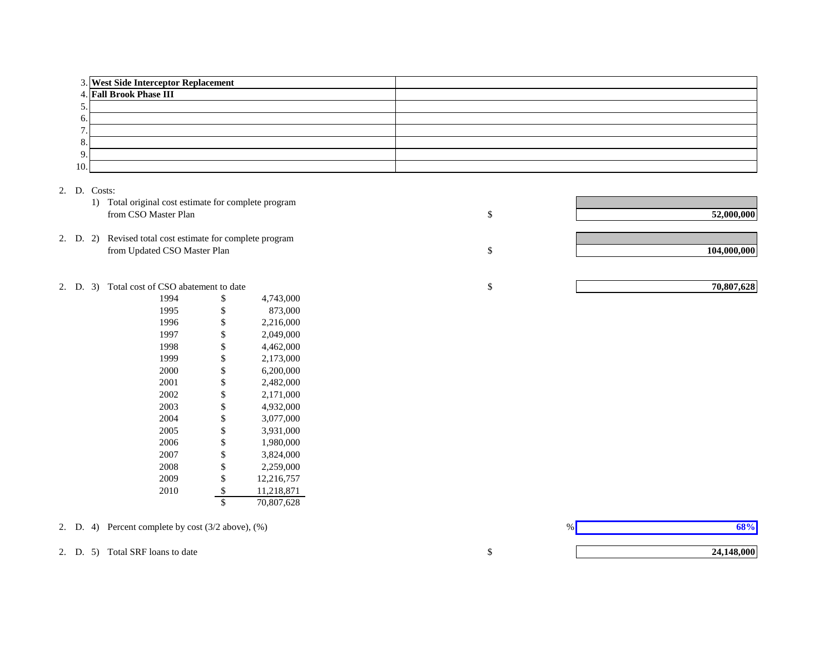|     | 3. West Side Interceptor Replacement<br>4. Fall Brook Phase III |  |
|-----|-----------------------------------------------------------------|--|
|     |                                                                 |  |
| J.  |                                                                 |  |
| 6.  |                                                                 |  |
|     |                                                                 |  |
| 8.  |                                                                 |  |
| 9.  |                                                                 |  |
| 10. |                                                                 |  |

#### 2. D. Costs:

|  | 1) Total original cost estimate for complete program<br>from CSO Master Plan              | 52,000,000  |
|--|-------------------------------------------------------------------------------------------|-------------|
|  | 2. D. 2) Revised total cost estimate for complete program<br>from Updated CSO Master Plan | 104,000,000 |

#### 2. D. 3) Total cost of CSO abatement to date

| 1994 | \$<br>4,743,000  |
|------|------------------|
| 1995 | \$<br>873.000    |
| 1996 | \$<br>2,216,000  |
| 1997 | \$<br>2,049,000  |
| 1998 | \$<br>4,462,000  |
| 1999 | \$<br>2,173,000  |
| 2000 | \$<br>6,200,000  |
| 2001 | \$<br>2,482,000  |
| 2002 | \$<br>2,171,000  |
| 2003 | \$<br>4,932,000  |
| 2004 | \$<br>3,077,000  |
| 2005 | \$<br>3,931,000  |
| 2006 | \$<br>1,980,000  |
| 2007 | \$<br>3,824,000  |
| 2008 | \$<br>2.259,000  |
| 2009 | \$<br>12,216,757 |
| 2010 | \$<br>11,218,871 |
|      | \$<br>70.807.628 |
|      |                  |

2. D. 4) Percent complete by cost (3/2 above), (%)

2. D. 5) Total SRF loans to date



 $%$ **68%**

\$

\$

**24,148,000**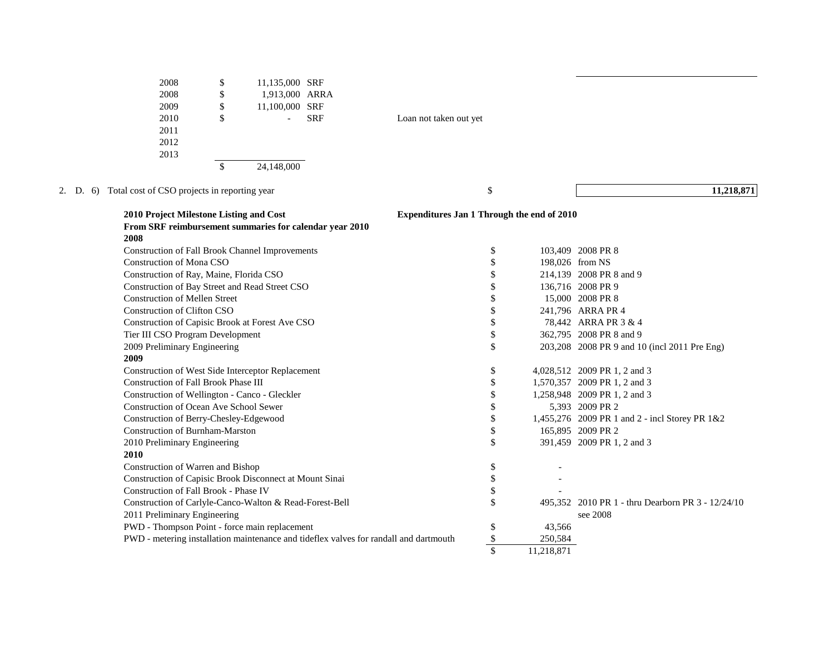| 2008 | \$<br>11,135,000 SRF |  |
|------|----------------------|--|
| 2008 | \$<br>1,913,000 ARRA |  |
| 2009 | \$<br>11,100,000 SRF |  |
| 2010 | \$<br><b>SRF</b>     |  |
| 2011 |                      |  |
| 2012 |                      |  |
| 2013 |                      |  |
|      | \$<br>24.148.000     |  |

Loan not taken out yet

2. D. 6) Total cost of CSO projects in reporting year \$

**11,218,871**

| 2010 Project Milestone Listing and Cost                                               | Expenditures Jan 1 Through the end of 2010 |            |                                                   |
|---------------------------------------------------------------------------------------|--------------------------------------------|------------|---------------------------------------------------|
| From SRF reimbursement summaries for calendar year 2010                               |                                            |            |                                                   |
| 2008                                                                                  |                                            |            |                                                   |
| Construction of Fall Brook Channel Improvements                                       | \$                                         |            | 103,409 2008 PR 8                                 |
| <b>Construction of Mona CSO</b>                                                       | \$                                         |            | 198,026 from NS                                   |
| Construction of Ray, Maine, Florida CSO                                               | \$                                         |            | 214,139 2008 PR 8 and 9                           |
| Construction of Bay Street and Read Street CSO                                        | \$                                         |            | 136,716 2008 PR 9                                 |
| <b>Construction of Mellen Street</b>                                                  | \$                                         |            | 15,000 2008 PR 8                                  |
| <b>Construction of Clifton CSO</b>                                                    | \$                                         |            | 241,796 ARRA PR 4                                 |
| Construction of Capisic Brook at Forest Ave CSO                                       | \$                                         |            | 78,442 ARRA PR 3 & 4                              |
| Tier III CSO Program Development                                                      | \$                                         |            | 362,795 2008 PR 8 and 9                           |
| 2009 Preliminary Engineering                                                          | \$                                         |            | 203,208 2008 PR 9 and 10 (incl 2011 Pre Eng)      |
| 2009                                                                                  |                                            |            |                                                   |
| Construction of West Side Interceptor Replacement                                     | \$                                         |            | 4,028,512 2009 PR 1, 2 and 3                      |
| <b>Construction of Fall Brook Phase III</b>                                           | \$                                         |            | 1,570,357 2009 PR 1, 2 and 3                      |
| Construction of Wellington - Canco - Gleckler                                         | \$                                         |            | 1,258,948 2009 PR 1, 2 and 3                      |
| Construction of Ocean Ave School Sewer                                                | \$                                         |            | 5,393 2009 PR 2                                   |
| Construction of Berry-Chesley-Edgewood                                                | \$                                         |            | 1,455,276 2009 PR 1 and 2 - incl Storey PR $1&82$ |
| <b>Construction of Burnham-Marston</b>                                                | \$                                         |            | 165,895 2009 PR 2                                 |
| 2010 Preliminary Engineering                                                          | \$                                         |            | 391,459 2009 PR 1, 2 and 3                        |
| 2010                                                                                  |                                            |            |                                                   |
| Construction of Warren and Bishop                                                     | \$                                         |            |                                                   |
| Construction of Capisic Brook Disconnect at Mount Sinai                               | \$                                         |            |                                                   |
| Construction of Fall Brook - Phase IV                                                 | \$                                         |            |                                                   |
| Construction of Carlyle-Canco-Walton & Read-Forest-Bell                               | \$                                         |            | 495.352 2010 PR 1 - thru Dearborn PR 3 - 12/24/10 |
| 2011 Preliminary Engineering                                                          |                                            |            | see 2008                                          |
| PWD - Thompson Point - force main replacement                                         | \$                                         | 43,566     |                                                   |
| PWD - metering installation maintenance and tideflex valves for randall and dartmouth | \$                                         | 250,584    |                                                   |
|                                                                                       | \$                                         | 11,218,871 |                                                   |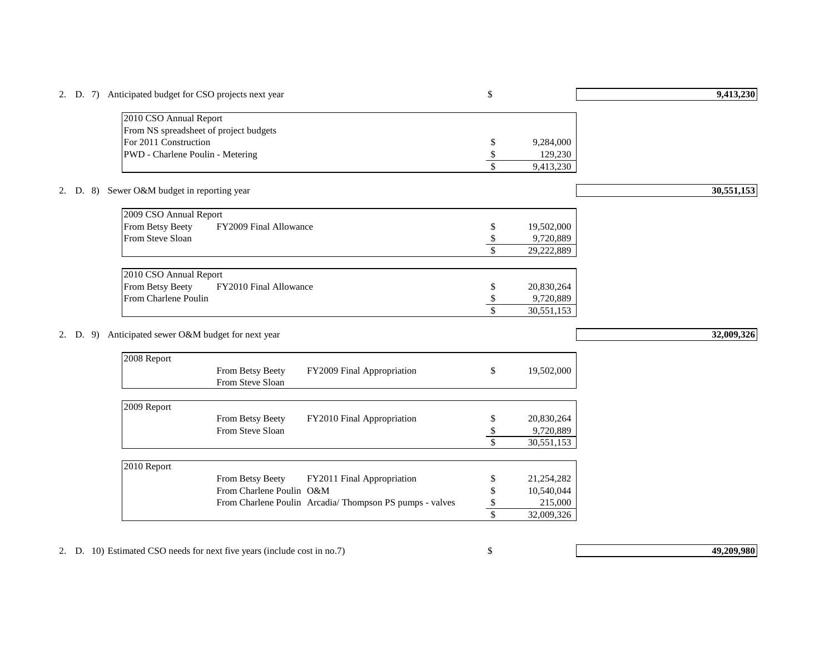| 2010 CSO Annual Report<br>From NS spreadsheet of project budgets<br>For 2011 Construction<br>9,284,000<br>\$<br>PWD - Charlene Poulin - Metering<br>\$<br>129,230<br>$\mathsf{\$}$<br>9,413,230<br>Sewer O&M budget in reporting year<br>2. D. 8)<br>2009 CSO Annual Report<br>From Betsy Beety<br>FY2009 Final Allowance<br>19,502,000<br>\$<br>From Steve Sloan<br>\$<br>9,720,889<br>\$<br>29,222,889<br>2010 CSO Annual Report<br>From Betsy Beety<br>FY2010 Final Allowance<br>20,830,264<br>S<br>From Charlene Poulin<br>9,720,889<br>\$<br>$\mathsf{\$}$<br>30,551,153<br>Anticipated sewer O&M budget for next year<br>2. D.<br>9)<br>2008 Report<br>From Betsy Beety<br>FY2009 Final Appropriation<br>\$<br>19,502,000<br>From Steve Sloan<br>2009 Report<br>From Betsy Beety<br>FY2010 Final Appropriation<br>20,830,264<br>\$<br>From Steve Sloan<br>\$<br>9,720,889<br>\$<br>30,551,153<br>2010 Report<br>From Betsy Beety<br>FY2011 Final Appropriation<br>21,254,282<br>\$<br>10,540,044<br>From Charlene Poulin O&M<br>\$<br>From Charlene Poulin Arcadia/ Thompson PS pumps - valves<br>\$<br>215,000<br>\$<br>32,009,326 |  | 2. D. $7)$ |  |  | Anticipated budget for CSO projects next year |  | \$ | 9,413,230  |
|-------------------------------------------------------------------------------------------------------------------------------------------------------------------------------------------------------------------------------------------------------------------------------------------------------------------------------------------------------------------------------------------------------------------------------------------------------------------------------------------------------------------------------------------------------------------------------------------------------------------------------------------------------------------------------------------------------------------------------------------------------------------------------------------------------------------------------------------------------------------------------------------------------------------------------------------------------------------------------------------------------------------------------------------------------------------------------------------------------------------------------------------|--|------------|--|--|-----------------------------------------------|--|----|------------|
|                                                                                                                                                                                                                                                                                                                                                                                                                                                                                                                                                                                                                                                                                                                                                                                                                                                                                                                                                                                                                                                                                                                                           |  |            |  |  |                                               |  |    |            |
|                                                                                                                                                                                                                                                                                                                                                                                                                                                                                                                                                                                                                                                                                                                                                                                                                                                                                                                                                                                                                                                                                                                                           |  |            |  |  |                                               |  |    |            |
|                                                                                                                                                                                                                                                                                                                                                                                                                                                                                                                                                                                                                                                                                                                                                                                                                                                                                                                                                                                                                                                                                                                                           |  |            |  |  |                                               |  |    |            |
|                                                                                                                                                                                                                                                                                                                                                                                                                                                                                                                                                                                                                                                                                                                                                                                                                                                                                                                                                                                                                                                                                                                                           |  |            |  |  |                                               |  |    |            |
|                                                                                                                                                                                                                                                                                                                                                                                                                                                                                                                                                                                                                                                                                                                                                                                                                                                                                                                                                                                                                                                                                                                                           |  |            |  |  |                                               |  |    |            |
|                                                                                                                                                                                                                                                                                                                                                                                                                                                                                                                                                                                                                                                                                                                                                                                                                                                                                                                                                                                                                                                                                                                                           |  |            |  |  |                                               |  |    |            |
|                                                                                                                                                                                                                                                                                                                                                                                                                                                                                                                                                                                                                                                                                                                                                                                                                                                                                                                                                                                                                                                                                                                                           |  |            |  |  |                                               |  |    | 30,551,153 |
|                                                                                                                                                                                                                                                                                                                                                                                                                                                                                                                                                                                                                                                                                                                                                                                                                                                                                                                                                                                                                                                                                                                                           |  |            |  |  |                                               |  |    |            |
|                                                                                                                                                                                                                                                                                                                                                                                                                                                                                                                                                                                                                                                                                                                                                                                                                                                                                                                                                                                                                                                                                                                                           |  |            |  |  |                                               |  |    |            |
|                                                                                                                                                                                                                                                                                                                                                                                                                                                                                                                                                                                                                                                                                                                                                                                                                                                                                                                                                                                                                                                                                                                                           |  |            |  |  |                                               |  |    |            |
|                                                                                                                                                                                                                                                                                                                                                                                                                                                                                                                                                                                                                                                                                                                                                                                                                                                                                                                                                                                                                                                                                                                                           |  |            |  |  |                                               |  |    |            |
|                                                                                                                                                                                                                                                                                                                                                                                                                                                                                                                                                                                                                                                                                                                                                                                                                                                                                                                                                                                                                                                                                                                                           |  |            |  |  |                                               |  |    |            |
|                                                                                                                                                                                                                                                                                                                                                                                                                                                                                                                                                                                                                                                                                                                                                                                                                                                                                                                                                                                                                                                                                                                                           |  |            |  |  |                                               |  |    |            |
|                                                                                                                                                                                                                                                                                                                                                                                                                                                                                                                                                                                                                                                                                                                                                                                                                                                                                                                                                                                                                                                                                                                                           |  |            |  |  |                                               |  |    |            |
|                                                                                                                                                                                                                                                                                                                                                                                                                                                                                                                                                                                                                                                                                                                                                                                                                                                                                                                                                                                                                                                                                                                                           |  |            |  |  |                                               |  |    |            |
|                                                                                                                                                                                                                                                                                                                                                                                                                                                                                                                                                                                                                                                                                                                                                                                                                                                                                                                                                                                                                                                                                                                                           |  |            |  |  |                                               |  |    |            |
|                                                                                                                                                                                                                                                                                                                                                                                                                                                                                                                                                                                                                                                                                                                                                                                                                                                                                                                                                                                                                                                                                                                                           |  |            |  |  |                                               |  |    |            |
|                                                                                                                                                                                                                                                                                                                                                                                                                                                                                                                                                                                                                                                                                                                                                                                                                                                                                                                                                                                                                                                                                                                                           |  |            |  |  |                                               |  |    | 32,009,326 |
|                                                                                                                                                                                                                                                                                                                                                                                                                                                                                                                                                                                                                                                                                                                                                                                                                                                                                                                                                                                                                                                                                                                                           |  |            |  |  |                                               |  |    |            |
|                                                                                                                                                                                                                                                                                                                                                                                                                                                                                                                                                                                                                                                                                                                                                                                                                                                                                                                                                                                                                                                                                                                                           |  |            |  |  |                                               |  |    |            |
|                                                                                                                                                                                                                                                                                                                                                                                                                                                                                                                                                                                                                                                                                                                                                                                                                                                                                                                                                                                                                                                                                                                                           |  |            |  |  |                                               |  |    |            |
|                                                                                                                                                                                                                                                                                                                                                                                                                                                                                                                                                                                                                                                                                                                                                                                                                                                                                                                                                                                                                                                                                                                                           |  |            |  |  |                                               |  |    |            |
|                                                                                                                                                                                                                                                                                                                                                                                                                                                                                                                                                                                                                                                                                                                                                                                                                                                                                                                                                                                                                                                                                                                                           |  |            |  |  |                                               |  |    |            |
|                                                                                                                                                                                                                                                                                                                                                                                                                                                                                                                                                                                                                                                                                                                                                                                                                                                                                                                                                                                                                                                                                                                                           |  |            |  |  |                                               |  |    |            |
|                                                                                                                                                                                                                                                                                                                                                                                                                                                                                                                                                                                                                                                                                                                                                                                                                                                                                                                                                                                                                                                                                                                                           |  |            |  |  |                                               |  |    |            |
|                                                                                                                                                                                                                                                                                                                                                                                                                                                                                                                                                                                                                                                                                                                                                                                                                                                                                                                                                                                                                                                                                                                                           |  |            |  |  |                                               |  |    |            |
|                                                                                                                                                                                                                                                                                                                                                                                                                                                                                                                                                                                                                                                                                                                                                                                                                                                                                                                                                                                                                                                                                                                                           |  |            |  |  |                                               |  |    |            |
|                                                                                                                                                                                                                                                                                                                                                                                                                                                                                                                                                                                                                                                                                                                                                                                                                                                                                                                                                                                                                                                                                                                                           |  |            |  |  |                                               |  |    |            |
|                                                                                                                                                                                                                                                                                                                                                                                                                                                                                                                                                                                                                                                                                                                                                                                                                                                                                                                                                                                                                                                                                                                                           |  |            |  |  |                                               |  |    |            |
|                                                                                                                                                                                                                                                                                                                                                                                                                                                                                                                                                                                                                                                                                                                                                                                                                                                                                                                                                                                                                                                                                                                                           |  |            |  |  |                                               |  |    |            |
|                                                                                                                                                                                                                                                                                                                                                                                                                                                                                                                                                                                                                                                                                                                                                                                                                                                                                                                                                                                                                                                                                                                                           |  |            |  |  |                                               |  |    |            |
|                                                                                                                                                                                                                                                                                                                                                                                                                                                                                                                                                                                                                                                                                                                                                                                                                                                                                                                                                                                                                                                                                                                                           |  |            |  |  |                                               |  |    |            |

2. D. 10) Estimated CSO needs for next five years (include cost in no.7) \$

**49,209,980**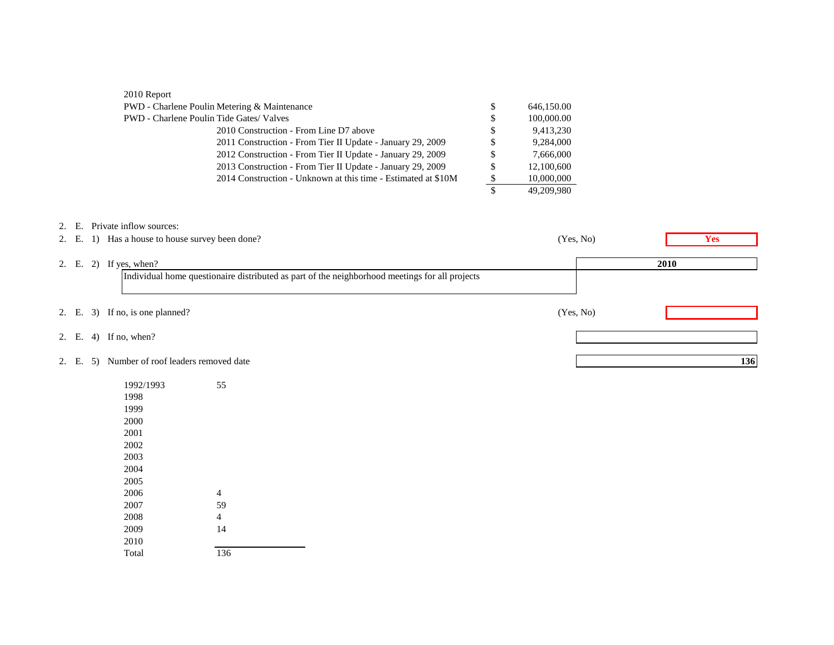| 2010 Report                                                   |     |            |  |
|---------------------------------------------------------------|-----|------------|--|
| PWD - Charlene Poulin Metering & Maintenance                  | S   | 646,150.00 |  |
| <b>PWD</b> - Charlene Poulin Tide Gates/Valves                | \$  | 100,000.00 |  |
| 2010 Construction - From Line D7 above                        | \$  | 9,413,230  |  |
| 2011 Construction - From Tier II Update - January 29, 2009    | \$. | 9.284,000  |  |
| 2012 Construction - From Tier II Update - January 29, 2009    |     | 7,666,000  |  |
| 2013 Construction - From Tier II Update - January 29, 2009    |     | 12,100,600 |  |
| 2014 Construction - Unknown at this time - Estimated at \$10M |     | 10,000,000 |  |
|                                                               |     | 49,209,980 |  |

|       |  | 2. E. Private inflow sources:                                                                  |           |            |     |
|-------|--|------------------------------------------------------------------------------------------------|-----------|------------|-----|
|       |  | 2. E. 1) Has a house to house survey been done?                                                | (Yes, No) | <b>Yes</b> |     |
| 2. E. |  | 2) If yes, when?                                                                               |           | 2010       |     |
|       |  | Individual home questionaire distributed as part of the neighborhood meetings for all projects |           |            |     |
|       |  | 2. E. 3) If no, is one planned?                                                                | (Yes, No) |            |     |
|       |  | 2. E. 4) If no, when?                                                                          |           |            |     |
| 2. E. |  | 5) Number of roof leaders removed date                                                         |           |            | 136 |

| 1992/1993 | 55  |
|-----------|-----|
| 1998      |     |
| 1999      |     |
| 2000      |     |
| 2001      |     |
| 2002      |     |
| 2003      |     |
| 2004      |     |
| 2005      |     |
| 2006      | 4   |
| 2007      | 59  |
| 2008      | 4   |
| 2009      | 14  |
| 2010      |     |
| Total     | 136 |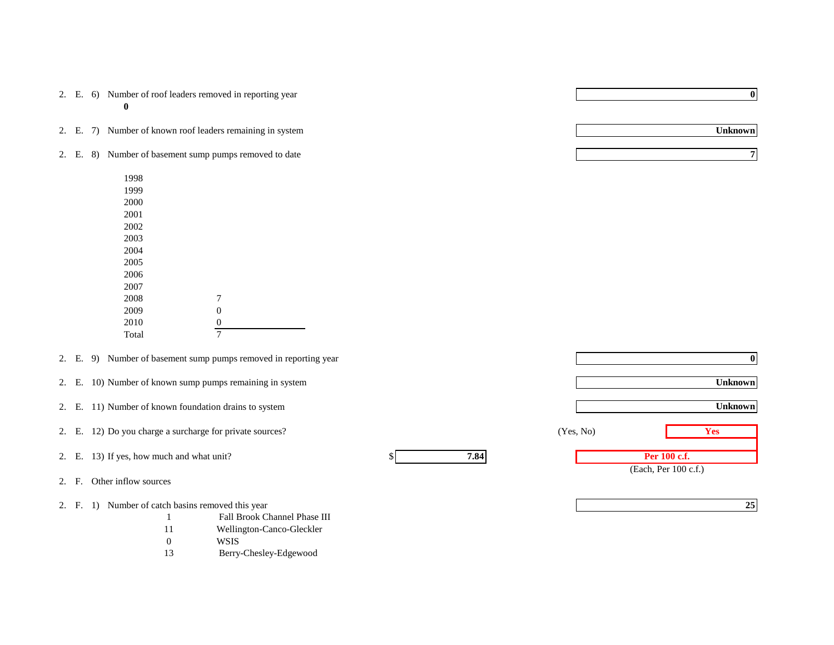|  | 2. E. 6) Number of roof leaders removed in reporting year |
|--|-----------------------------------------------------------|
|  |                                                           |

2. E. 7) Number of known roof leaders remaining in system

- 2. E. 8) Number of basement sump pumps removed to date
	- 1998 1999 2000 2001 2002 2003 2004 2005 2006 2007 2008 7 2009 0<br>2010 0 2010  $\frac{0}{7}$

**Total** 

- 2. E. 9) Number of basement sump pumps removed in reporting year
- 2. E. 10) Number of known sump pumps remaining in system
- 2. E. 11) Number of known foundation drains to system

2. E. 12) Do you charge a surcharge for private sources? **Yes** (Yes, No) **Yes** 

- 2. E. 13) If yes, how much and what unit?  $\frac{1}{2}$  **7.84**
- 2. F. Other inflow sources
- 2. F. 1) Number of catch basins removed this year
	- 1 Fall Brook Channel Phase III
	- 11 Wellington-Canco-Gleckler
	- 0 WSIS
	- 13 Berry-Chesley-Edgewood

**0**

**Unknown**

(Each, Per 100 c.f.) **Unknown 0 Unknown Per 100 c.f.** (Yes, No)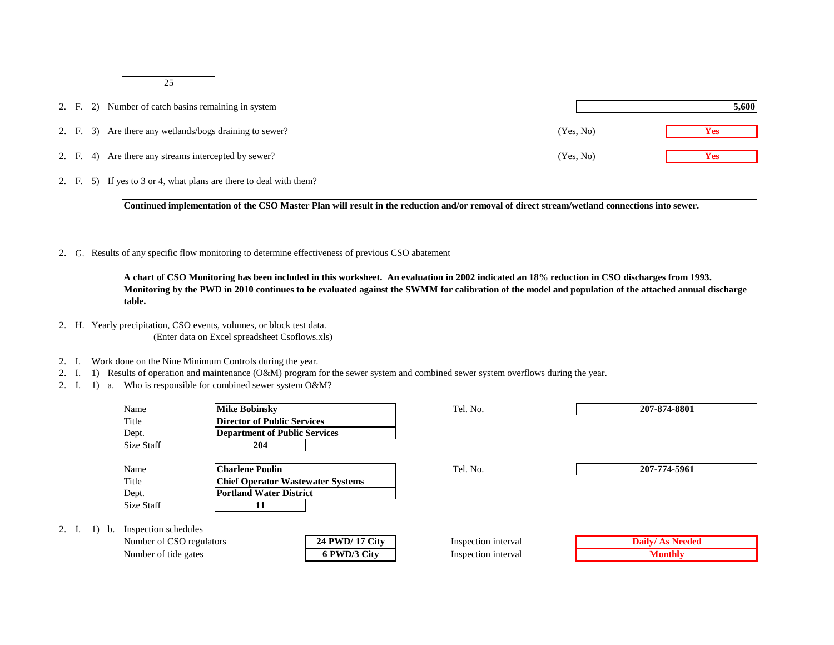25

- 2. F. 2) Number of catch basins remaining in system
- 2. F. 3) Are there any wetlands/bogs draining to sewer?
- 2. F. 4) Are there any streams intercepted by sewer?
- 2. F. 5) If yes to 3 or 4, what plans are there to deal with them?

**Continued implementation of the CSO Master Plan will result in the reduction and/or removal of direct stream/wetland connections into sewer.**

2. G. Results of any specific flow monitoring to determine effectiveness of previous CSO abatement

**A chart of CSO Monitoring has been included in this worksheet. An evaluation in 2002 indicated an 18% reduction in CSO discharges from 1993. Monitoring by the PWD in 2010 continues to be evaluated against the SWMM for calibration of the model and population of the attached annual discharge table.**

- 2. H. Yearly precipitation, CSO events, volumes, or block test data. (Enter data on Excel spreadsheet Csoflows.xls)
- 2. I. Work done on the Nine Minimum Controls during the year.

2. I.  $1$ 

- 2. I. 1) Results of operation and maintenance (O&M) program for the sewer system and combined sewer system overflows during the year.
- 2. I. 1) a. Who is responsible for combined sewer system O&M?

|                                             | Name                    | <b>Mike Bobinsky</b>                     | Tel. No.            | 207-874-8801           |
|---------------------------------------------|-------------------------|------------------------------------------|---------------------|------------------------|
|                                             | Title                   | <b>Director of Public Services</b>       |                     |                        |
|                                             | Dept.                   | <b>Department of Public Services</b>     |                     |                        |
|                                             | Size Staff              | 204                                      |                     |                        |
|                                             |                         |                                          |                     |                        |
|                                             | Name                    | <b>Charlene Poulin</b>                   | Tel. No.            | 207-774-5961           |
|                                             | Title                   | <b>Chief Operator Wastewater Systems</b> |                     |                        |
|                                             | Dept.                   | <b>Portland Water District</b>           |                     |                        |
|                                             | Size Staff              | 11                                       |                     |                        |
|                                             |                         |                                          |                     |                        |
|                                             | b. Inspection schedules |                                          |                     |                        |
| 24 PWD/ 17 City<br>Number of CSO regulators |                         |                                          | Inspection interval | <b>Daily/As Needed</b> |
| Number of tide gates<br>6 PWD/3 City        |                         |                                          | Inspection interval | <b>Monthly</b>         |

|           | 5,600      |
|-----------|------------|
| (Yes, No) | Yes        |
| (Yes, No) | <b>Yes</b> |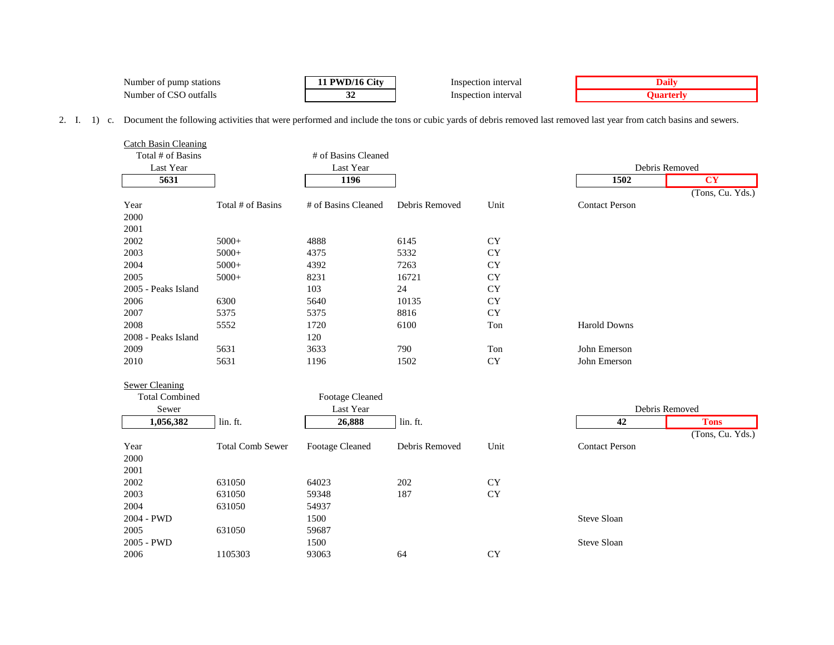| $\sim$ $\sim$<br>Number<br>stations<br>pump<br>,,, | $\sim$<br>лt | Inspection interval     | иш |
|----------------------------------------------------|--------------|-------------------------|----|
| .<br>Number<br>ıttalls<br>$. \nO11$<br>ΩT<br>w     |              | ction interval<br>Inspe |    |

2. I. 1) c. Document the following activities that were performed and include the tons or cubic yards of debris removed last removed last year from catch basins and sewers.

| <b>Catch Basin Cleaning</b> |                         |                        |                |           |                       |                  |
|-----------------------------|-------------------------|------------------------|----------------|-----------|-----------------------|------------------|
| Total # of Basins           |                         | # of Basins Cleaned    |                |           |                       |                  |
| Last Year                   |                         | Last Year              |                |           |                       | Debris Removed   |
| 5631                        |                         | 1196                   |                |           | 1502                  | <b>CY</b>        |
|                             |                         |                        |                |           |                       | (Tons, Cu. Yds.) |
| Year                        | Total # of Basins       | # of Basins Cleaned    | Debris Removed | Unit      | <b>Contact Person</b> |                  |
| 2000                        |                         |                        |                |           |                       |                  |
| 2001                        |                         |                        |                |           |                       |                  |
| 2002                        | $5000+$                 | 4888                   | 6145           | <b>CY</b> |                       |                  |
| 2003                        | $5000+$                 | 4375                   | 5332           | <b>CY</b> |                       |                  |
| 2004                        | $5000+$                 | 4392                   | 7263           | <b>CY</b> |                       |                  |
| 2005                        | $5000+$                 | 8231                   | 16721          | <b>CY</b> |                       |                  |
| 2005 - Peaks Island         |                         | 103                    | 24             | <b>CY</b> |                       |                  |
| 2006                        | 6300                    | 5640                   | 10135          | <b>CY</b> |                       |                  |
| 2007                        | 5375                    | 5375                   | 8816           | <b>CY</b> |                       |                  |
| 2008                        | 5552                    | 1720                   | 6100           | Ton       | <b>Harold Downs</b>   |                  |
| 2008 - Peaks Island         |                         | 120                    |                |           |                       |                  |
| 2009                        | 5631                    | 3633                   | 790            | Ton       | John Emerson          |                  |
| 2010                        | 5631                    | 1196                   | 1502           | <b>CY</b> | John Emerson          |                  |
| <b>Sewer Cleaning</b>       |                         |                        |                |           |                       |                  |
| <b>Total Combined</b>       |                         | <b>Footage Cleaned</b> |                |           |                       |                  |
| Sewer                       |                         | Last Year              |                |           |                       | Debris Removed   |
| 1,056,382                   | lin. ft.                | 26,888                 | lin. ft.       |           | 42                    | <b>Tons</b>      |
|                             |                         |                        |                |           |                       | (Tons, Cu. Yds.) |
| Year                        | <b>Total Comb Sewer</b> | <b>Footage Cleaned</b> | Debris Removed | Unit      | <b>Contact Person</b> |                  |
| 2000                        |                         |                        |                |           |                       |                  |
| 2001                        |                         |                        |                |           |                       |                  |
| 2002                        | 631050                  | 64023                  | 202            | <b>CY</b> |                       |                  |
| 2003                        | 631050                  | 59348                  | 187            | <b>CY</b> |                       |                  |
| 2004                        | 631050                  | 54937                  |                |           |                       |                  |
| 2004 - PWD                  |                         | 1500                   |                |           | Steve Sloan           |                  |
| 2005                        | 631050                  | 59687                  |                |           |                       |                  |
| 2005 - PWD                  |                         | 1500                   |                |           | <b>Steve Sloan</b>    |                  |
| 2006                        | 1105303                 | 93063                  | 64             | <b>CY</b> |                       |                  |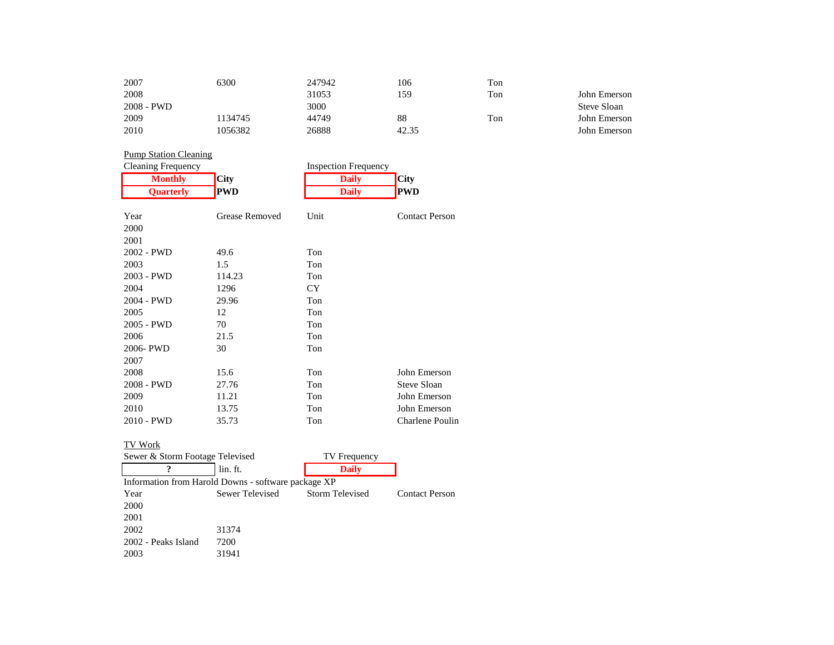| 2007         | 6300    | 247942 | 106   | Ton |              |
|--------------|---------|--------|-------|-----|--------------|
| 2008         |         | 31053  | 159   | Ton | John Emerson |
| $2008 - PWD$ |         | 3000   |       |     | Steve Sloan  |
| 2009         | 1134745 | 44749  | 88    | Ton | John Emerson |
| 2010         | 1056382 | 26888  | 42.35 |     | John Emerson |

# **Pump Station Cleaning**<br>Cleaning Frequency

| Cleaning Frequency |                | <b>Inspection Frequency</b> |                 |
|--------------------|----------------|-----------------------------|-----------------|
| <b>Monthly</b>     | <b>City</b>    | <b>Daily</b>                | <b>City</b>     |
| Quarterly          | <b>PWD</b>     | <b>Daily</b>                | <b>PWD</b>      |
| Year               | Grease Removed | Unit                        | Contact Person  |
| 2000               |                |                             |                 |
|                    |                |                             |                 |
| 2001               |                |                             |                 |
| 2002 - PWD         | 49.6           | Ton                         |                 |
| 2003               | 1.5            | Ton                         |                 |
| 2003 - PWD         | 114.23         | Ton                         |                 |
| 2004               | 1296           | CY.                         |                 |
| 2004 - PWD         | 29.96          | Ton                         |                 |
| 2005               | 12             | Ton                         |                 |
| 2005 - PWD         | 70             | Ton                         |                 |
| 2006               | 21.5           | Ton                         |                 |
| 2006-PWD           | 30             | Ton                         |                 |
| 2007               |                |                             |                 |
| 2008               | 15.6           | Ton                         | John Emerson    |
| 2008 - PWD         | 27.76          | Ton                         | Steve Sloan     |
| 2009               | 11.21          | Ton                         | John Emerson    |
| 2010               | 13.75          | Ton                         | John Emerson    |
| 2010 - PWD         | 35.73          | Ton                         | Charlene Poulin |

#### TV Work

| Sewer & Storm Footage Televised |                                                     | TV Frequency    |                       |
|---------------------------------|-----------------------------------------------------|-----------------|-----------------------|
|                                 | lin. ft.                                            | <b>Daily</b>    |                       |
|                                 | Information from Harold Downs - software package XP |                 |                       |
| Year                            | Sewer Televised                                     | Storm Televised | <b>Contact Person</b> |
| 2000                            |                                                     |                 |                       |
| 2001                            |                                                     |                 |                       |
| 2002                            | 31374                                               |                 |                       |
| 2002 - Peaks Island             | 7200                                                |                 |                       |
| 2003                            | 31941                                               |                 |                       |
|                                 |                                                     |                 |                       |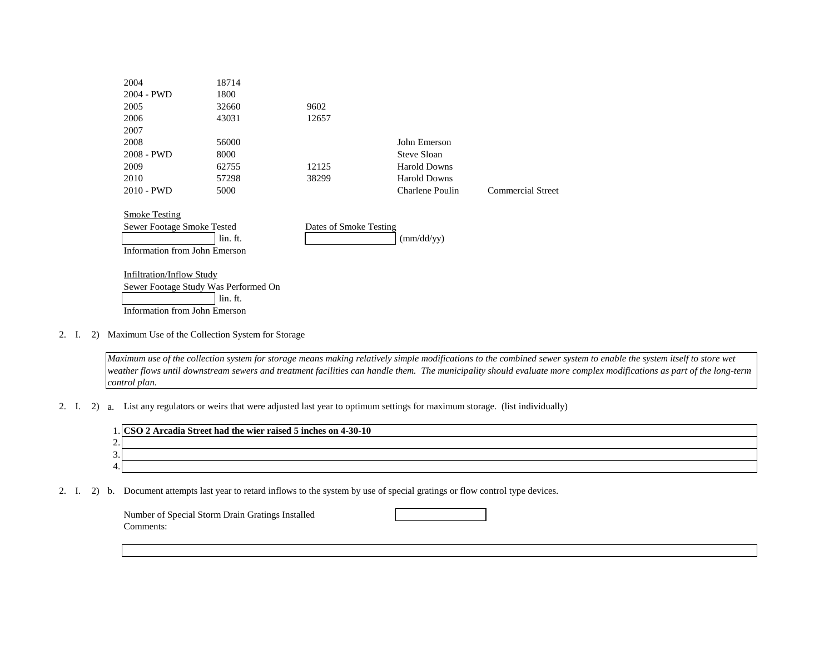| 2004                                               | 18714                                            |                        |                     |                   |
|----------------------------------------------------|--------------------------------------------------|------------------------|---------------------|-------------------|
| 2004 - PWD                                         | 1800                                             |                        |                     |                   |
| 2005                                               | 32660                                            | 9602                   |                     |                   |
| 2006                                               | 43031                                            | 12657                  |                     |                   |
| 2007                                               |                                                  |                        |                     |                   |
| 2008                                               | 56000                                            |                        | John Emerson        |                   |
| 2008 - PWD                                         | 8000                                             |                        | Steve Sloan         |                   |
| 2009                                               | 62755                                            | 12125                  | <b>Harold Downs</b> |                   |
| 2010                                               | 57298                                            | 38299                  | <b>Harold Downs</b> |                   |
| $2010 - PWD$                                       | 5000                                             |                        | Charlene Poulin     | Commercial Street |
| <b>Smoke Testing</b><br>Sewer Footage Smoke Tested |                                                  | Dates of Smoke Testing |                     |                   |
|                                                    | lin. ft.                                         |                        | $\text{(mm/dd/yy)}$ |                   |
| Information from John Emerson                      |                                                  |                        |                     |                   |
| <b>Infiltration/Inflow Study</b>                   | Sewer Footage Study Was Performed On<br>lin. ft. |                        |                     |                   |
| Information from John Emerson                      |                                                  |                        |                     |                   |
|                                                    |                                                  |                        |                     |                   |

#### 2. I. 2) Maximum Use of the Collection System for Storage

*Maximum use of the collection system for storage means making relatively simple modifications to the combined sewer system to enable the system itself to store wet weather flows until downstream sewers and treatment facilities can handle them. The municipality should evaluate more complex modifications as part of the long-term control plan.*

2. I. 2) a. List any regulators or weirs that were adjusted last year to optimum settings for maximum storage. (list individually)

|               | Arcadia Street had the wier raised 5 inches on 4-30-10 |
|---------------|--------------------------------------------------------|
| ⌒<br><u>.</u> |                                                        |
| ⌒<br><u>.</u> |                                                        |
| 4.            |                                                        |

2. I. 2) b. Document attempts last year to retard inflows to the system by use of special gratings or flow control type devices.

| Number of Special Storm Drain Gratings Installed |  |
|--------------------------------------------------|--|
| Comments:                                        |  |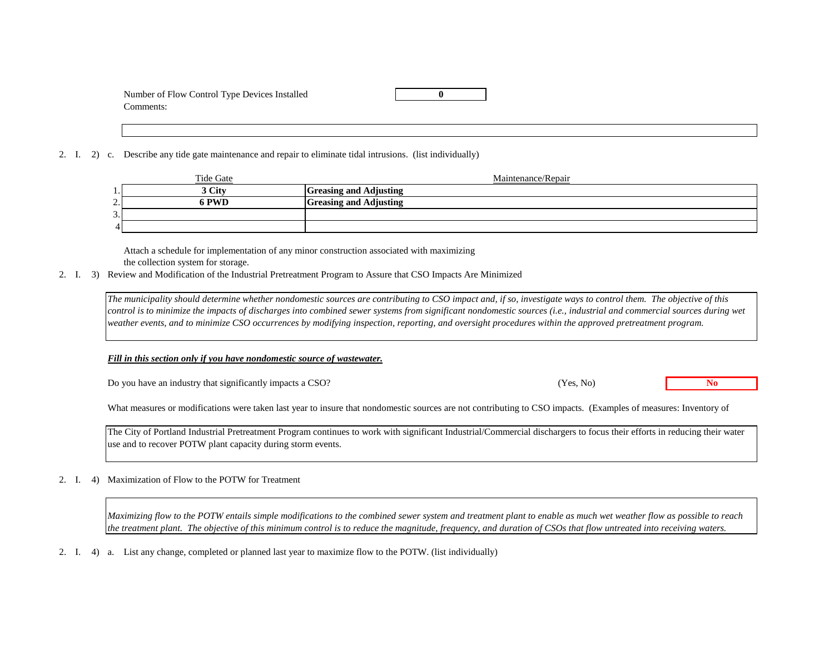| Number of Flow Control Type Devices Installed |  |
|-----------------------------------------------|--|
| Comments:                                     |  |

2. I. 2) c. Describe any tide gate maintenance and repair to eliminate tidal intrusions. (list individually)

|                 | Tide Gate | Maintenance/Repair            |
|-----------------|-----------|-------------------------------|
| . .             | 3 City    | <b>Greasing and Adjusting</b> |
| ↑<br><u>، ،</u> | PWD       | <b>Greasing and Adjusting</b> |
| 3.              |           |                               |
| $\overline{A}$  |           |                               |

Attach a schedule for implementation of any minor construction associated with maximizing the collection system for storage.

2. I. 3) Review and Modification of the Industrial Pretreatment Program to Assure that CSO Impacts Are Minimized

*The municipality should determine whether nondomestic sources are contributing to CSO impact and, if so, investigate ways to control them. The objective of this control is to minimize the impacts of discharges into combined sewer systems from significant nondomestic sources (i.e., industrial and commercial sources during wet weather events, and to minimize CSO occurrences by modifying inspection, reporting, and oversight procedures within the approved pretreatment program.*

*Fill in this section only if you have nondomestic source of wastewater.*

Do you have an industry that significantly impacts a CSO? **No**

What measures or modifications were taken last year to insure that nondomestic sources are not contributing to CSO impacts. (Examples of measures: Inventory of

(Yes, No)

The City of Portland Industrial Pretreatment Program continues to work with significant Industrial/Commercial dischargers to focus their efforts in reducing their water use and to recover POTW plant capacity during storm events.

#### 2. I. 4) Maximization of Flow to the POTW for Treatment

*Maximizing flow to the POTW entails simple modifications to the combined sewer system and treatment plant to enable as much wet weather flow as possible to reach the treatment plant. The objective of this minimum control is to reduce the magnitude, frequency, and duration of CSOs that flow untreated into receiving waters.*

2. I. 4) a. List any change, completed or planned last year to maximize flow to the POTW. (list individually)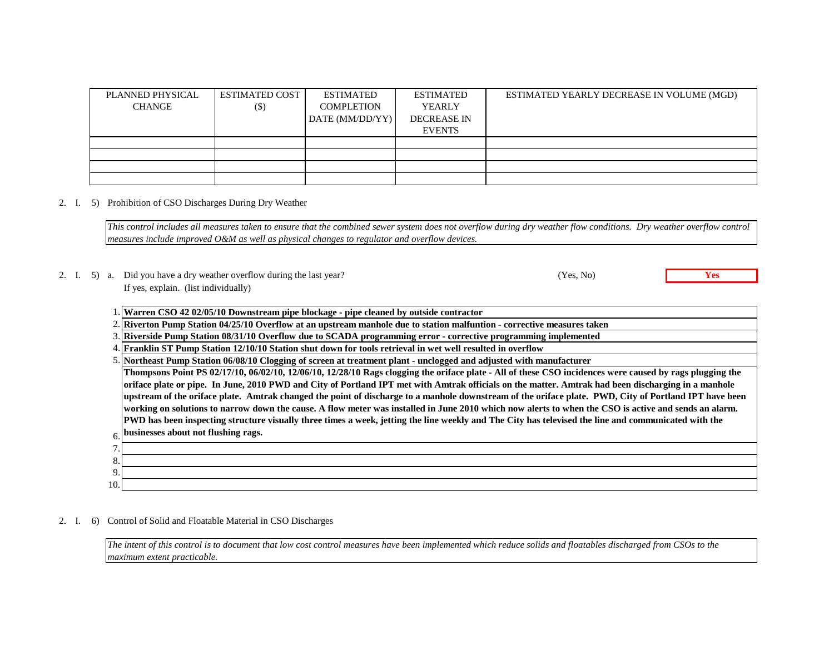| PLANNED PHYSICAL | <b>ESTIMATED COST</b> | <b>ESTIMATED</b>  | ESTIMATED          | ESTIMATED YEARLY DECREASE IN VOLUME (MGD) |
|------------------|-----------------------|-------------------|--------------------|-------------------------------------------|
| <b>CHANGE</b>    | $($ \$)               | <b>COMPLETION</b> | <b>YEARLY</b>      |                                           |
|                  |                       | DATE (MM/DD/YY)   | <b>DECREASE IN</b> |                                           |
|                  |                       |                   | <b>EVENTS</b>      |                                           |
|                  |                       |                   |                    |                                           |
|                  |                       |                   |                    |                                           |
|                  |                       |                   |                    |                                           |
|                  |                       |                   |                    |                                           |

#### 2. I. 5) Prohibition of CSO Discharges During Dry Weather

*This control includes all measures taken to ensure that the combined sewer system does not overflow during dry weather flow conditions. Dry weather overflow control measures include improved O&M as well as physical changes to regulator and overflow devices.*

#### 2. I. 5) a. Did you have a dry weather overflow during the last year? **Yes** (Yes, No) **Yes** If yes, explain. (list individually)

|  | 1. Warren CSO 42 02/05/10 Downstream pipe blockage - pipe cleaned by outside contractor |  |  |  |  |  |  |
|--|-----------------------------------------------------------------------------------------|--|--|--|--|--|--|
|--|-----------------------------------------------------------------------------------------|--|--|--|--|--|--|

2. **Riverton Pump Station 04/25/10 Overflow at an upstream manhole due to station malfuntion - corrective measures taken**

3. **Riverside Pump Station 08/31/10 Overflow due to SCADA programming error - corrective programming implemented**

4. **Franklin ST Pump Station 12/10/10 Station shut down for tools retrieval in wet well resulted in overflow**

6. **businesses about not flushing rags. Thompsons Point PS 02/17/10, 06/02/10, 12/06/10, 12/28/10 Rags clogging the oriface plate - All of these CSO incidences were caused by rags plugging the oriface plate or pipe. In June, 2010 PWD and City of Portland IPT met with Amtrak officials on the matter. Amtrak had been discharging in a manhole upstream of the oriface plate. Amtrak changed the point of discharge to a manhole downstream of the oriface plate. PWD, City of Portland IPT have been working on solutions to narrow down the cause. A flow meter was installed in June 2010 which now alerts to when the CSO is active and sends an alarm. PWD has been inspecting structure visually three times a week, jetting the line weekly and The City has televised the line and communicated with the** 

| $\overline{ }$ |  |
|----------------|--|
| 8.             |  |
| $\Omega$       |  |
| 10.            |  |
|                |  |

#### 2. I. 6) Control of Solid and Floatable Material in CSO Discharges

*The intent of this control is to document that low cost control measures have been implemented which reduce solids and floatables discharged from CSOs to the maximum extent practicable.*

(Yes, No)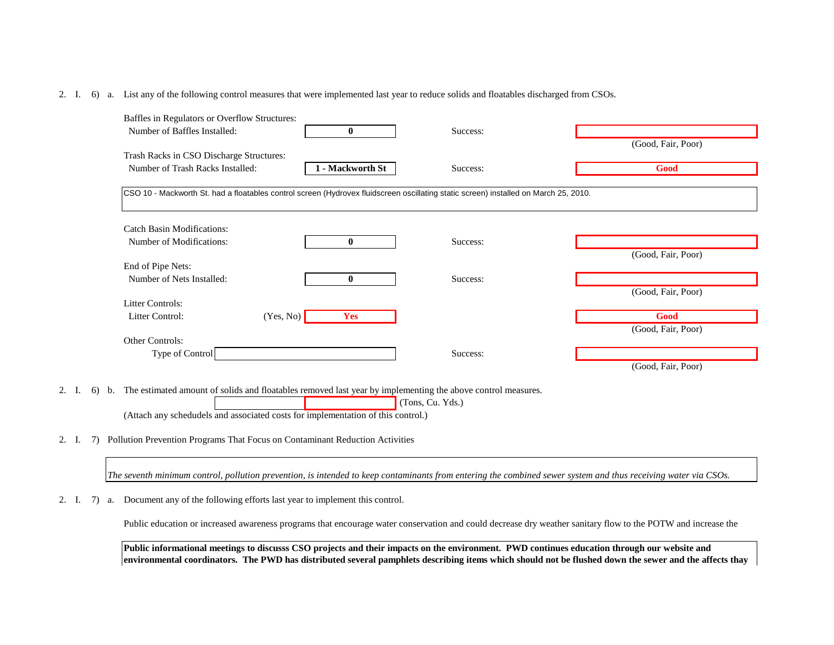#### 2. I. 6) a. List any of the following control measures that were implemented last year to reduce solids and floatables discharged from CSOs.

| Baffles in Regulators or Overflow Structures:                                                                                                                                                                        |                  |                  |                                                                                                                                                                |
|----------------------------------------------------------------------------------------------------------------------------------------------------------------------------------------------------------------------|------------------|------------------|----------------------------------------------------------------------------------------------------------------------------------------------------------------|
| Number of Baffles Installed:                                                                                                                                                                                         | $\bf{0}$         | Success:         |                                                                                                                                                                |
|                                                                                                                                                                                                                      |                  |                  | (Good, Fair, Poor)                                                                                                                                             |
| Trash Racks in CSO Discharge Structures:                                                                                                                                                                             |                  |                  |                                                                                                                                                                |
| Number of Trash Racks Installed:                                                                                                                                                                                     | 1 - Mackworth St | Success:         | Good                                                                                                                                                           |
| CSO 10 - Mackworth St. had a floatables control screen (Hydrovex fluidscreen oscillating static screen) installed on March 25, 2010.                                                                                 |                  |                  |                                                                                                                                                                |
| <b>Catch Basin Modifications:</b>                                                                                                                                                                                    |                  |                  |                                                                                                                                                                |
| Number of Modifications:                                                                                                                                                                                             | $\mathbf{0}$     | Success:         |                                                                                                                                                                |
| End of Pipe Nets:                                                                                                                                                                                                    |                  |                  | (Good, Fair, Poor)                                                                                                                                             |
| Number of Nets Installed:                                                                                                                                                                                            | $\mathbf{0}$     | Success:         |                                                                                                                                                                |
|                                                                                                                                                                                                                      |                  |                  | (Good, Fair, Poor)                                                                                                                                             |
| <b>Litter Controls:</b>                                                                                                                                                                                              |                  |                  |                                                                                                                                                                |
| Litter Control:<br>(Yes, No)                                                                                                                                                                                         | Yes              |                  | Good                                                                                                                                                           |
|                                                                                                                                                                                                                      |                  |                  | (Good, Fair, Poor)                                                                                                                                             |
| Other Controls:                                                                                                                                                                                                      |                  |                  |                                                                                                                                                                |
| Type of Control                                                                                                                                                                                                      |                  | Success:         |                                                                                                                                                                |
|                                                                                                                                                                                                                      |                  |                  | (Good, Fair, Poor)                                                                                                                                             |
| The estimated amount of solids and floatables removed last year by implementing the above control measures.<br>2. I.<br>6)<br>b.<br>(Attach any schedudels and associated costs for implementation of this control.) |                  | (Tons, Cu. Yds.) |                                                                                                                                                                |
| Pollution Prevention Programs That Focus on Contaminant Reduction Activities<br>2. I.<br>7)                                                                                                                          |                  |                  |                                                                                                                                                                |
|                                                                                                                                                                                                                      |                  |                  | The seventh minimum control, pollution prevention, is intended to keep contaminants from entering the combined sewer system and thus receiving water via CSOs. |

2. I. 7) a. Document any of the following efforts last year to implement this control.

Public education or increased awareness programs that encourage water conservation and could decrease dry weather sanitary flow to the POTW and increase the

**Public informational meetings to discusss CSO projects and their impacts on the environment. PWD continues education through our website and environmental coordinators. The PWD has distributed several pamphlets describing items which should not be flushed down the sewer and the affects thay**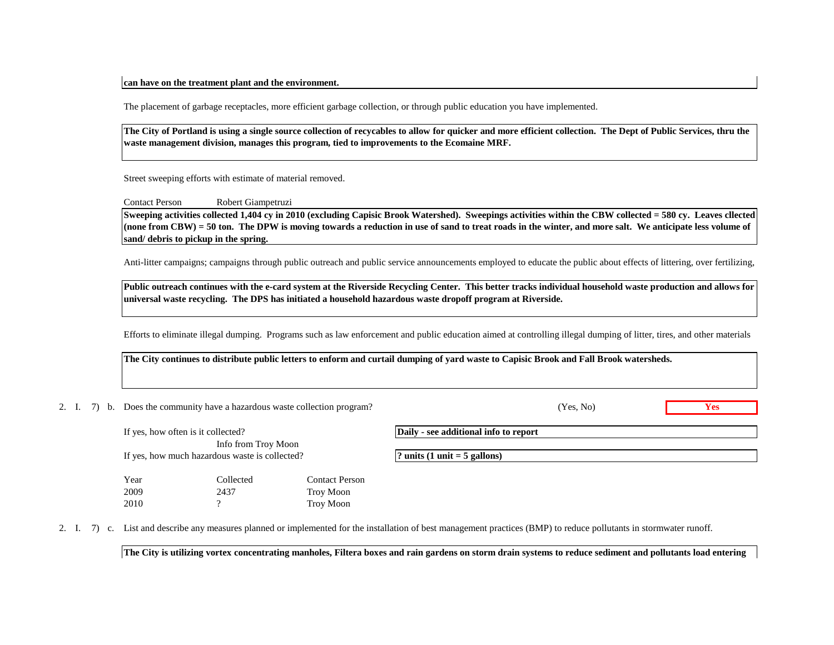#### **can have on the treatment plant and the environment.**

The placement of garbage receptacles, more efficient garbage collection, or through public education you have implemented.

**The City of Portland is using a single source collection of recycables to allow for quicker and more efficient collection. The Dept of Public Services, thru the waste management division, manages this program, tied to improvements to the Ecomaine MRF.**

Street sweeping efforts with estimate of material removed.

Contact Person Robert Giampetruzi

**Sweeping activities collected 1,404 cy in 2010 (excluding Capisic Brook Watershed). Sweepings activities within the CBW collected = 580 cy. Leaves cllected (none from CBW) = 50 ton. The DPW is moving towards a reduction in use of sand to treat roads in the winter, and more salt. We anticipate less volume of sand/ debris to pickup in the spring.**

Anti-litter campaigns; campaigns through public outreach and public service announcements employed to educate the public about effects of littering, over fertilizing,

**Public outreach continues with the e-card system at the Riverside Recycling Center. This better tracks individual household waste production and allows for universal waste recycling. The DPS has initiated a household hazardous waste dropoff program at Riverside.**

Efforts to eliminate illegal dumping. Programs such as law enforcement and public education aimed at controlling illegal dumping of litter, tires, and other materials

**The City continues to distribute public letters to enform and curtail dumping of yard waste to Capisic Brook and Fall Brook watersheds.**

2. I. 7) b. Does the community have a hazardous waste collection program? **Yes**

(Yes, No)

| If yes, how often is it collected?<br>Info from Troy Moon |           |                | Daily - see additional info to report          |
|-----------------------------------------------------------|-----------|----------------|------------------------------------------------|
| If yes, how much hazardous waste is collected?            |           |                | ? units $(1 \text{ unit} = 5 \text{ gallons})$ |
| Year                                                      | Collected | Contact Person |                                                |
| 2009                                                      | 2437      | Troy Moon      |                                                |
| 2010                                                      |           | Troy Moon      |                                                |

2. I. 7) c. List and describe any measures planned or implemented for the installation of best management practices (BMP) to reduce pollutants in stormwater runoff.

**The City is utilizing vortex concentrating manholes, Filtera boxes and rain gardens on storm drain systems to reduce sediment and pollutants load entering**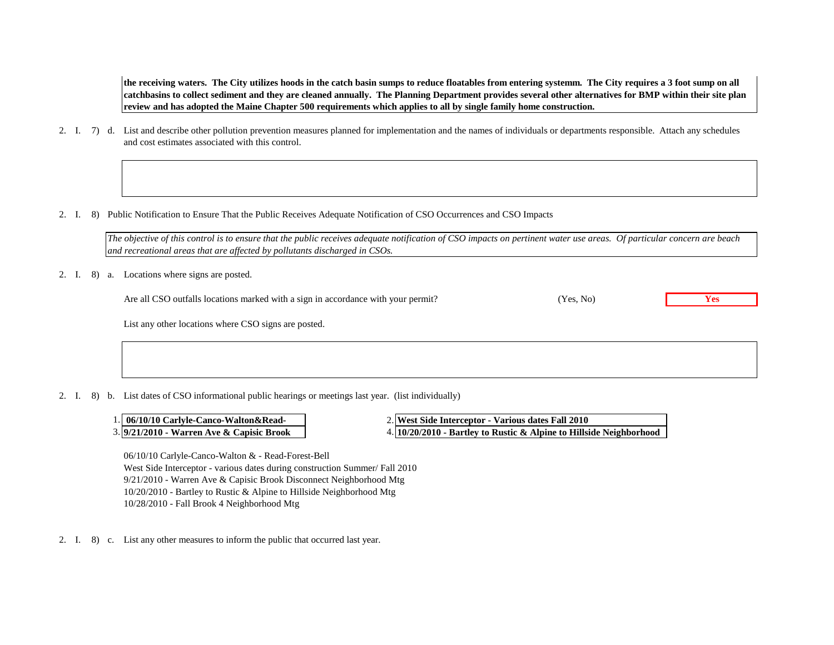**the receiving waters. The City utilizes hoods in the catch basin sumps to reduce floatables from entering systemm. The City requires a 3 foot sump on all catchbasins to collect sediment and they are cleaned annually. The Planning Department provides several other alternatives for BMP within their site plan review and has adopted the Maine Chapter 500 requirements which applies to all by single family home construction.**

- 2. I. 7) d. List and describe other pollution prevention measures planned for implementation and the names of individuals or departments responsible. Attach any schedules and cost estimates associated with this control.
- 2. I. 8) Public Notification to Ensure That the Public Receives Adequate Notification of CSO Occurrences and CSO Impacts

*The objective of this control is to ensure that the public receives adequate notification of CSO impacts on pertinent water use areas. Of particular concern are beach and recreational areas that are affected by pollutants discharged in CSOs.*

#### 2. I. 8) a. Locations where signs are posted.

Are all CSO outfalls locations marked with a sign in accordance with your permit? (Yes, No) **Yes** 

(Yes, No)

List any other locations where CSO signs are posted.

2. I. 8) b. List dates of CSO informational public hearings or meetings last year. (list individually)

- 1. 06/10/10 Carlyle-Canco-Walton&Read-
- 3. 9/21/2010 Warren Ave & Capisic Brook

**9/21/2010 - Warren Ave & Capisic Brook 10/20/2010 - Bartley to Rustic & Alpine to Hillside Neighborhood 06/10/10 Carlyle-Canco-Walton&Read- West Side Interceptor - Various dates Fall 2010**

06/10/10 Carlyle-Canco-Walton & - Read-Forest-Bell West Side Interceptor - various dates during construction Summer/ Fall 2010 9/21/2010 - Warren Ave & Capisic Brook Disconnect Neighborhood Mtg 10/20/2010 - Bartley to Rustic & Alpine to Hillside Neighborhood Mtg 10/28/2010 - Fall Brook 4 Neighborhood Mtg

2. I. 8) c. List any other measures to inform the public that occurred last year.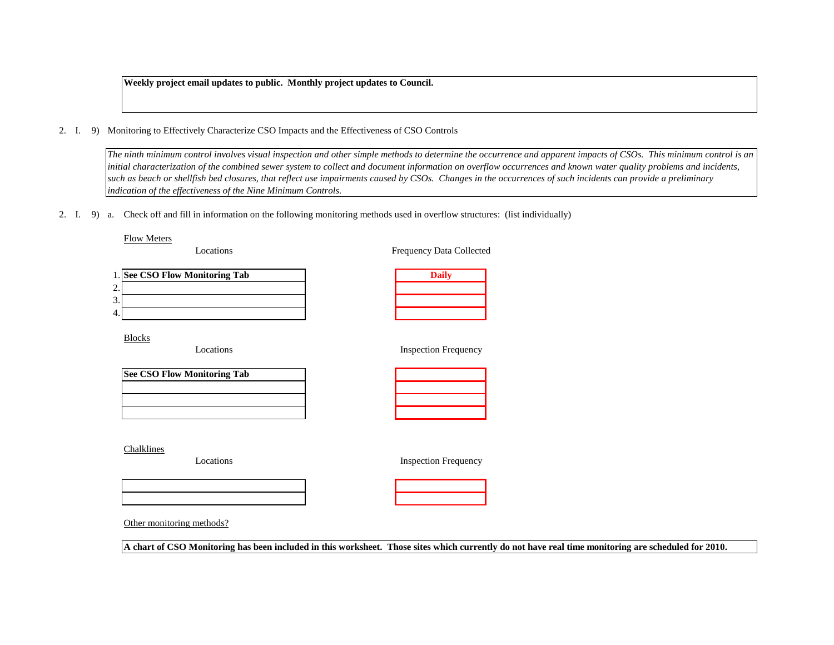**Weekly project email updates to public. Monthly project updates to Council.**

2. I. 9) Monitoring to Effectively Characterize CSO Impacts and the Effectiveness of CSO Controls

*The ninth minimum control involves visual inspection and other simple methods to determine the occurrence and apparent impacts of CSOs. This minimum control is an initial characterization of the combined sewer system to collect and document information on overflow occurrences and known water quality problems and incidents, such as beach or shellfish bed closures, that reflect use impairments caused by CSOs. Changes in the occurrences of such incidents can provide a preliminary indication of the effectiveness of the Nine Minimum Controls.*

2. I. 9) a. Check off and fill in information on the following monitoring methods used in overflow structures: (list individually)

#### Flow Meters

Locations

Frequency Data Collected

| 1. See CSO Flow Monitoring Tab |  |
|--------------------------------|--|
|                                |  |
|                                |  |
|                                |  |

Blocks

Locations

| <b>Inspection Frequency</b> |  |
|-----------------------------|--|
|-----------------------------|--|

| <b>See CSO Flow Monitoring Tab</b> |  |  |  |  |  |
|------------------------------------|--|--|--|--|--|
|                                    |  |  |  |  |  |
|                                    |  |  |  |  |  |
|                                    |  |  |  |  |  |

Chalklines

Locations

Inspection Frequency



Other monitoring methods?

**A chart of CSO Monitoring has been included in this worksheet. Those sites which currently do not have real time monitoring are scheduled for 2010.**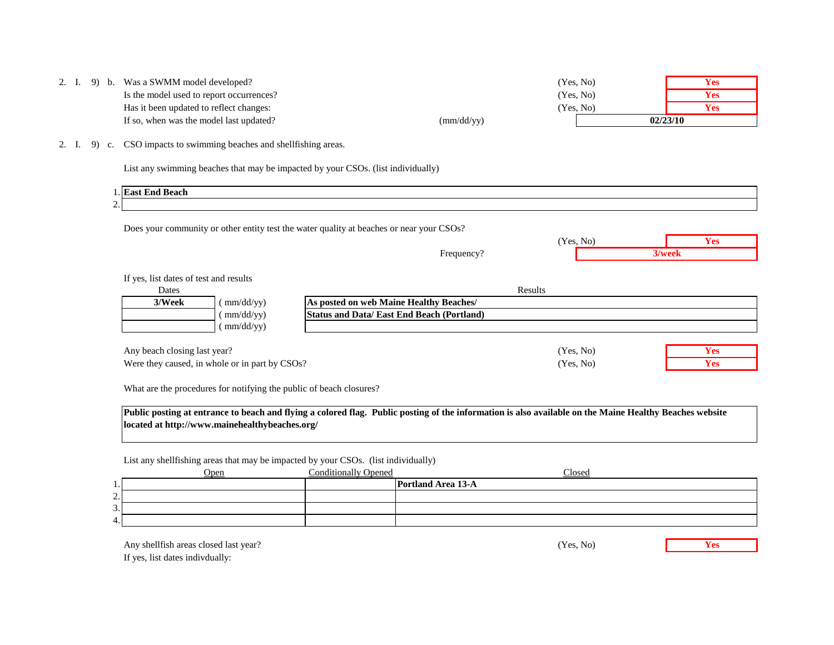|  | 2. I. 9) b. Was a SWMM model developed?  |                     | (Yes, No) | Y es        |
|--|------------------------------------------|---------------------|-----------|-------------|
|  | Is the model used to report occurrences? |                     | (Yes, No) | Y es        |
|  | Has it been updated to reflect changes:  |                     | (Yes, No) | <b>Y es</b> |
|  | If so, when was the model last updated?  | $\text{(mm/dd/yy)}$ |           | 02/23/10    |

2. I. 9) c. CSO impacts to swimming beaches and shellfishing areas.

List any swimming beaches that may be impacted by your CSOs. (list individually)

|            | 1. East End Beach                                                                        |
|------------|------------------------------------------------------------------------------------------|
| <u>، ،</u> |                                                                                          |
|            |                                                                                          |
|            | Does your community or other entity test the water quality at beaches or near your CSOs? |

Frequency?

| $\overline{\phantom{a}}$<br>$-0c$<br>$\overline{\phantom{a}}$ |     |
|---------------------------------------------------------------|-----|
|                                                               | ек. |

If yes, list dates of test and results

| Dates                                          |           |                                                  | Results   |            |
|------------------------------------------------|-----------|--------------------------------------------------|-----------|------------|
| 3/Week                                         | mm/dd/yy) | As posted on web Maine Healthy Beaches/          |           |            |
|                                                | mm/dd/yy) | <b>Status and Data/East End Beach (Portland)</b> |           |            |
|                                                | mm/dd/yy) |                                                  |           |            |
| Any beach closing last year?                   |           |                                                  | (Yes, No) | <b>Yes</b> |
| Were they caused, in whole or in part by CSOs? |           |                                                  | (Yes, No) | Yes        |

Were they caused, in whole or in part by CSOs? **Yes** (Yes, No) **Yes** 

What are the procedures for notifying the public of beach closures?

**Public posting at entrance to beach and flying a colored flag. Public posting of the information is also available on the Maine Healthy Beaches website located at http://www.mainehealthybeaches.org/**

List any shellfishing areas that may be impacted by your CSOs. (list individually)

|                                           | <b>Open</b> | <b>Conditionally Opened</b> | <b>Closed</b>      |
|-------------------------------------------|-------------|-----------------------------|--------------------|
| $\perp$ .                                 |             |                             | Portland Area 13-A |
| $\mathcal{L}$<br>$\overline{\phantom{a}}$ |             |                             |                    |
| 3.1                                       |             |                             |                    |
| 4.                                        |             |                             |                    |

Any shellfish areas closed last year? **Yes Yes** If yes, list dates indivdually:

(Yes, No)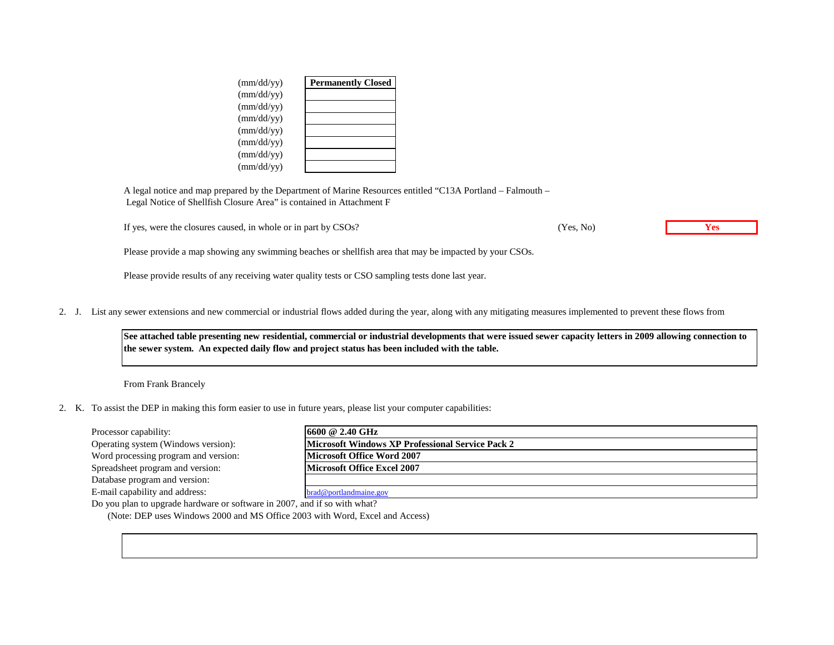| (mm/dd/yy)          | <b>Permanently Closed</b> |
|---------------------|---------------------------|
| $\text{(mm/dd/yy)}$ |                           |
| $\text{(mm/dd/yy)}$ |                           |
| $\text{(mm/dd/yy)}$ |                           |
| $\text{(mm/dd/yy)}$ |                           |
| $\text{(mm/dd/yy)}$ |                           |
| $\text{(mm/dd/yy)}$ |                           |
| (mm/dd/yy)          |                           |

A legal notice and map prepared by the Department of Marine Resources entitled "C13A Portland – Falmouth – Legal Notice of Shellfish Closure Area" is contained in Attachment F

If yes, were the closures caused, in whole or in part by CSOs? **Yes**

(Yes, No)

Please provide a map showing any swimming beaches or shellfish area that may be impacted by your CSOs.

Please provide results of any receiving water quality tests or CSO sampling tests done last year.

2. J. List any sewer extensions and new commercial or industrial flows added during the year, along with any mitigating measures implemented to prevent these flows from

**See attached table presenting new residential, commercial or industrial developments that were issued sewer capacity letters in 2009 allowing connection to the sewer system. An expected daily flow and project status has been included with the table.**

From Frank Brancely

2. K. To assist the DEP in making this form easier to use in future years, please list your computer capabilities:

| Processor capability:                                                     | 16600 @ 2.40 GHz                                        |  |  |  |  |
|---------------------------------------------------------------------------|---------------------------------------------------------|--|--|--|--|
| Operating system (Windows version):                                       | <b>Microsoft Windows XP Professional Service Pack 2</b> |  |  |  |  |
| Word processing program and version:                                      | Microsoft Office Word 2007                              |  |  |  |  |
| Spreadsheet program and version:                                          | <b>Microsoft Office Excel 2007</b>                      |  |  |  |  |
| Database program and version:                                             |                                                         |  |  |  |  |
| E-mail capability and address:                                            | brad@portlandmaine.gov                                  |  |  |  |  |
| Do you plan to upgrade hardware or software in 2007, and if so with what? |                                                         |  |  |  |  |

(Note: DEP uses Windows 2000 and MS Office 2003 with Word, Excel and Access)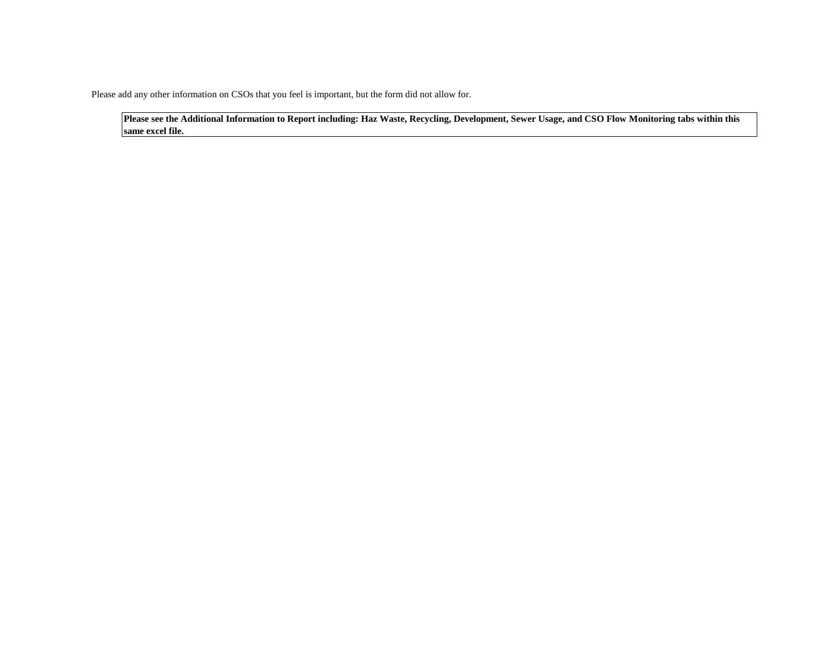Please add any other information on CSOs that you feel is important, but the form did not allow for.

**Please see the Additional Information to Report including: Haz Waste, Recycling, Development, Sewer Usage, and CSO Flow Monitoring tabs within this same excel file.**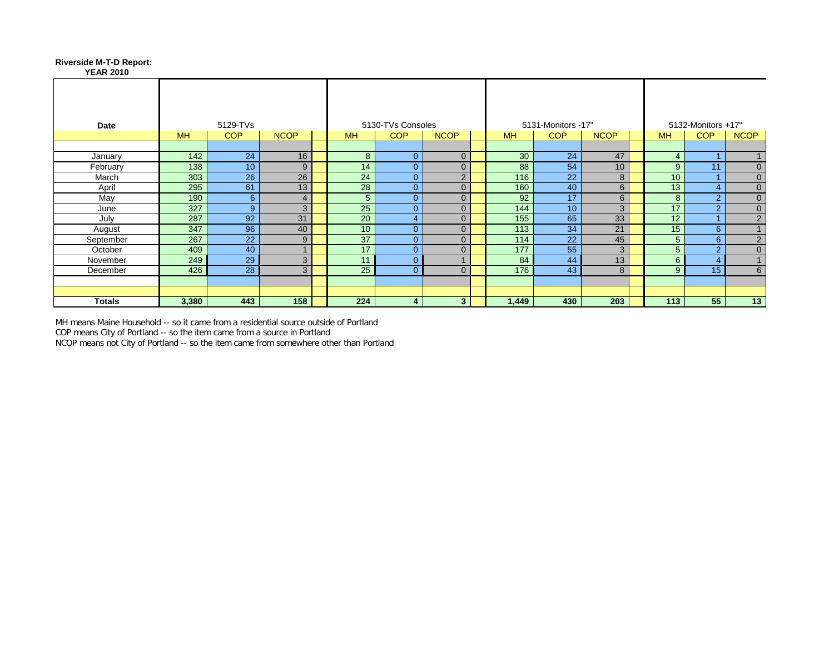### **Riverside M-T-D Report:**

|  |                  |  | (iverside M-1-D Report: |
|--|------------------|--|-------------------------|
|  | <b>YEAR 2010</b> |  |                         |

| Date      |           | 5129-TVs        |                |  |                 | 5130-TVs Consoles |                |           | 5131-Monitors -17" |                 |                 | 5132-Monitors +17" |                |  |  |
|-----------|-----------|-----------------|----------------|--|-----------------|-------------------|----------------|-----------|--------------------|-----------------|-----------------|--------------------|----------------|--|--|
|           | <b>MH</b> | <b>COP</b>      | <b>NCOP</b>    |  | <b>MH</b>       | <b>COP</b>        | <b>NCOP</b>    | <b>MH</b> | <b>COP</b>         | <b>NCOP</b>     | <b>MH</b>       | <b>COP</b>         | <b>NCOP</b>    |  |  |
|           |           |                 |                |  |                 |                   |                |           |                    |                 |                 |                    |                |  |  |
| January   | 142       | 24              | 16             |  | 8               | $\Omega$          | $\overline{0}$ | 30        | 24                 | 47              | $\overline{4}$  |                    |                |  |  |
| February  | 138       | 10 <sup>°</sup> | 9              |  | 14              | $\Omega$          | $\overline{0}$ | 88        | 54                 | 10 <sup>1</sup> | 9               | 11                 | $\mathbf{0}$   |  |  |
| March     | 303       | 26              | 26             |  | 24              | $\Omega$          | $\overline{2}$ | 116       | 22                 | 8               | 10 <sup>1</sup> |                    | $\mathbf{0}$   |  |  |
| April     | 295       | 61              | 13             |  | 28              | $\overline{0}$    | $\overline{0}$ | 160       | 40                 | 6               | 13              | $\overline{4}$     | $\mathbf 0$    |  |  |
| May       | 190       | 6               | $\overline{4}$ |  | 5               | $\Omega$          | $\overline{0}$ | 92        | 17                 | 6               | 8               | 2                  | $\mathbf 0$    |  |  |
| June      | 327       | 9               | 3              |  | 25              | $\Omega$          | $\overline{0}$ | 144       | 10                 | 3               | 17              | 2                  | $\mathbf{0}$   |  |  |
| July      | 287       | 92              | 31             |  | 20              | 4                 | $\overline{0}$ | 155       | 65                 | 33              | 12              |                    | $\overline{2}$ |  |  |
| August    | 347       | 96              | 40             |  | 10 <sup>°</sup> | $\Omega$          | $\Omega$       | 113       | 34                 | 21              | 15              | 6                  |                |  |  |
| September | 267       | 22              | 9              |  | 37              | $\Omega$          | $\overline{0}$ | 114       | 22                 | 45              | 5               | 6                  | $\overline{2}$ |  |  |
| October   | 409       | 40              | $\overline{A}$ |  | 17              | $\Omega$          | $\overline{0}$ | 177       | 55                 | 3               | 5 <sup>5</sup>  | 2                  | $\overline{0}$ |  |  |
| November  | 249       | 29              | 3              |  | 11              | $\Omega$          |                | 84        | 44                 | 13              | 6               | $\overline{4}$     |                |  |  |
| December  | 426       | 28              | 3              |  | 25              | $\Omega$          | $\Omega$       | 176       | 43                 | 8               | 9               | 15                 | 6              |  |  |
|           |           |                 |                |  |                 |                   |                |           |                    |                 |                 |                    |                |  |  |
|           |           |                 |                |  |                 |                   |                |           |                    |                 |                 |                    |                |  |  |
| Totals    | 3,380     | 443             | 158            |  | 224             | 4                 | 3              | 1,449     | 430                | 203             | 113             | 55                 | 13             |  |  |

MH means Maine Household -- so it came from a residential source outside of Portland COP means City of Portland -- so the item came from a source in Portland

NCOP means not City of Portland -- so the item came from somewhere other than Portland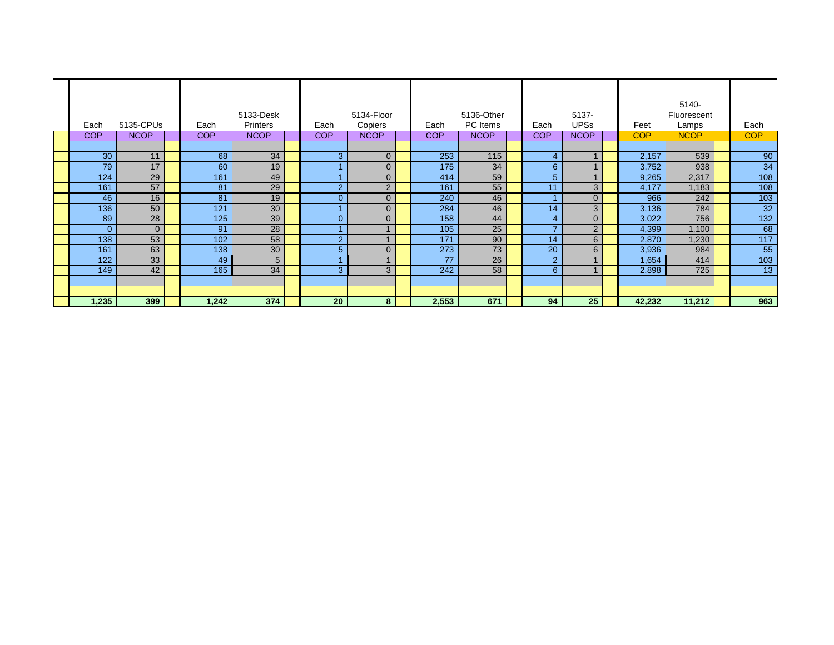| 5133-Desk  |             |  |            |                 | 5134-Floor     |                | 5136-Other |             | 5137-          |                | 5140-<br>Fluorescent |             |                 |
|------------|-------------|--|------------|-----------------|----------------|----------------|------------|-------------|----------------|----------------|----------------------|-------------|-----------------|
| Each       | 5135-CPUs   |  | Each       | <b>Printers</b> | Each           | Copiers        | Each       | PC Items    | Each           | <b>UPSs</b>    | Feet                 | Lamps       | Each            |
| <b>COP</b> | <b>NCOP</b> |  | <b>COP</b> | <b>NCOP</b>     | <b>COP</b>     | <b>NCOP</b>    | <b>COP</b> | <b>NCOP</b> | <b>COP</b>     | <b>NCOP</b>    | <b>COP</b>           | <b>NCOP</b> | <b>COP</b>      |
|            |             |  |            |                 |                |                |            |             |                |                |                      |             |                 |
| 30         | 11          |  | 68         | 34              | 3              | $\overline{0}$ | 253        | 115         | 4              |                | 2,157                | 539         | 90              |
| 79         | 17          |  | 60         | 19              |                | $\overline{0}$ | 175        | 34          | 6              |                | 3,752                | 938         | 34              |
| 124        | 29          |  | 161        | 49              |                | $\overline{0}$ | 414        | 59          | 5              |                | 9,265                | 2,317       | 108             |
| 161        | 57          |  | 81         | 29              | $\overline{2}$ | 2              | 161        | 55          | 11             | 3              | 4,177                | 1,183       | 108             |
| 46         | 16          |  | 81         | 19              | $\Omega$       | $\Omega$       | 240        | 46          |                | $\overline{0}$ | 966                  | 242         | 103             |
| 136        | 50          |  | 121        | 30              |                | $\overline{0}$ | 284        | 46          | 14             | 3              | 3,136                | 784         | $\overline{32}$ |
| 89         | 28          |  | 125        | 39              | $\Omega$       | $\overline{0}$ | 158        | 44          |                | $\overline{0}$ | 3,022                | 756         | 132             |
| O          | $\Omega$    |  | 91         | 28              |                |                | 105        | 25          |                | 2              | 4,399                | 1,100       | 68              |
| 138        | 53          |  | 102        | 58              | $\overline{2}$ |                | 171        | 90          | 14             | 6              | 2,870                | 1,230       | 117             |
| 161        | 63          |  | 138        | 30              | 5              | $\overline{0}$ | 273        | 73          | 20             | 6              | 3,936                | 984         | 55              |
| 122        | 33          |  | 49         | 5               |                | $\overline{A}$ | 77         | 26          | $\overline{2}$ |                | 1,654                | 414         | 103             |
| 149        | 42          |  | 165        | 34              | 3              | 3              | 242        | 58          | 6              |                | 2,898                | 725         | 13              |
|            |             |  |            |                 |                |                |            |             |                |                |                      |             |                 |
|            |             |  |            |                 |                |                |            |             |                |                |                      |             |                 |
| 1,235      | 399         |  | 1,242      | 374             | 20             | 8              | 2,553      | 671         | 94             | 25             | 42,232               | 11,212      | 963             |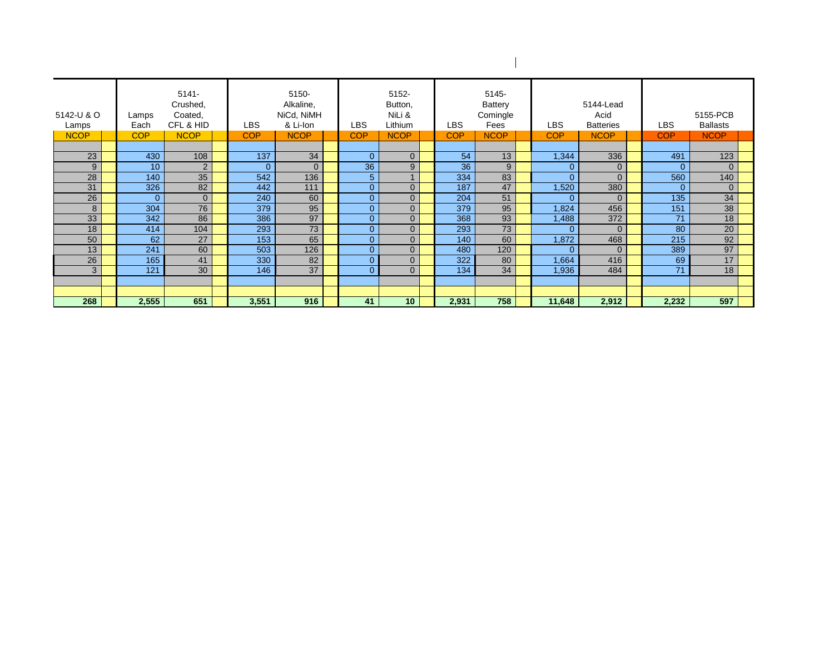| 5142-U & O<br>Lamps<br><b>NCOP</b> | Lamps<br>Each<br><b>COP</b> | $5141 -$<br>Crushed,<br>Coated,<br>CFL & HID<br><b>NCOP</b> | <b>LBS</b><br><b>COP</b> | 5150-<br>Alkaline,<br>NiCd, NiMH<br>& Li-Ion<br><b>NCOP</b> |  | 5152-<br>Button,<br>NiLi &<br><b>LBS</b><br>Lithium |                 |  | <b>COP</b><br><b>NCOP</b> |     |          | LBS<br><b>COP</b> | 5145-<br>Battery<br>Comingle<br>Fees<br><b>NCOP</b> | <b>LBS</b><br><b>COP</b> | 5144-Lead<br>Acid<br><b>Batteries</b><br><b>NCOP</b> | 5155-PCB<br>LBS<br><b>Ballasts</b><br><b>NCOP</b><br><b>COP</b> |  |  |  |
|------------------------------------|-----------------------------|-------------------------------------------------------------|--------------------------|-------------------------------------------------------------|--|-----------------------------------------------------|-----------------|--|---------------------------|-----|----------|-------------------|-----------------------------------------------------|--------------------------|------------------------------------------------------|-----------------------------------------------------------------|--|--|--|
|                                    |                             |                                                             |                          |                                                             |  |                                                     |                 |  |                           |     |          |                   |                                                     |                          |                                                      |                                                                 |  |  |  |
| 23                                 | 430                         | 108                                                         | 137                      | 34                                                          |  | $\Omega$                                            | $\overline{0}$  |  | 54                        | 13  | 1,344    | 336               | 491                                                 | 123                      |                                                      |                                                                 |  |  |  |
| 9                                  | 10 <sup>10</sup>            | 2                                                           | $\Omega$                 | $\Omega$                                                    |  | 36                                                  | 9               |  | 36                        | 9   | $\Omega$ | $\overline{0}$    | $\Omega$                                            | $\Omega$                 |                                                      |                                                                 |  |  |  |
| 28                                 | 140                         | 35                                                          | 542                      | 136                                                         |  | 5                                                   |                 |  | 334                       | 83  | $\Omega$ | $\Omega$          | 560                                                 | 140                      |                                                      |                                                                 |  |  |  |
| 31                                 | 326                         | 82                                                          | 442                      | 111                                                         |  | $\Omega$                                            | $\overline{0}$  |  | 187                       | 47  | 1,520    | 380               | $\Omega$                                            | $\Omega$                 |                                                      |                                                                 |  |  |  |
| 26                                 | $\Omega$                    | $\overline{0}$                                              | 240                      | 60                                                          |  | $\Omega$                                            | $\overline{0}$  |  | 204                       | 51  | $\Omega$ | $\Omega$          | 135                                                 | 34                       |                                                      |                                                                 |  |  |  |
| 8                                  | 304                         | 76                                                          | 379                      | 95                                                          |  | $\Omega$                                            | $\overline{0}$  |  | 379                       | 95  | 1,824    | 456               | 151                                                 | 38                       |                                                      |                                                                 |  |  |  |
| 33                                 | 342                         | 86                                                          | 386                      | 97                                                          |  | $\overline{0}$                                      | $\overline{0}$  |  | 368                       | 93  | 1,488    | 372               | 71                                                  | 18                       |                                                      |                                                                 |  |  |  |
| 18                                 | 414                         | 104                                                         | 293                      | 73                                                          |  | $\Omega$                                            | $\overline{0}$  |  | 293                       | 73  | $\Omega$ | $\Omega$          | 80                                                  | 20                       |                                                      |                                                                 |  |  |  |
| 50                                 | 62                          | 27                                                          | 153                      | 65                                                          |  | $\Omega$                                            | $\overline{0}$  |  | 140                       | 60  | 1,872    | 468               | 215                                                 | 92                       |                                                      |                                                                 |  |  |  |
| 13                                 | 241                         | 60                                                          | 503                      | 126                                                         |  | 0                                                   | $\overline{0}$  |  | 480                       | 120 | $\Omega$ | $\Omega$          | 389                                                 | 97                       |                                                      |                                                                 |  |  |  |
| 26                                 | 165                         | 41                                                          | 330                      | 82                                                          |  | 0                                                   | $\overline{0}$  |  | 322                       | 80  | 1,664    | 416               | 69                                                  | 17                       |                                                      |                                                                 |  |  |  |
| 3                                  | 121                         | 30                                                          | 146                      | 37                                                          |  | $\Omega$                                            | $\overline{0}$  |  | 134                       | 34  | 1,936    | 484               | 71                                                  | 18                       |                                                      |                                                                 |  |  |  |
|                                    |                             |                                                             |                          |                                                             |  |                                                     |                 |  |                           |     |          |                   |                                                     |                          |                                                      |                                                                 |  |  |  |
|                                    |                             |                                                             |                          |                                                             |  |                                                     |                 |  |                           |     |          |                   |                                                     |                          |                                                      |                                                                 |  |  |  |
| 268                                | 2,555                       | 651                                                         | 3,551                    | 916                                                         |  | 41                                                  | 10 <sup>°</sup> |  | 2,931                     | 758 | 11,648   | 2,912             | 2,232                                               | 597                      |                                                      |                                                                 |  |  |  |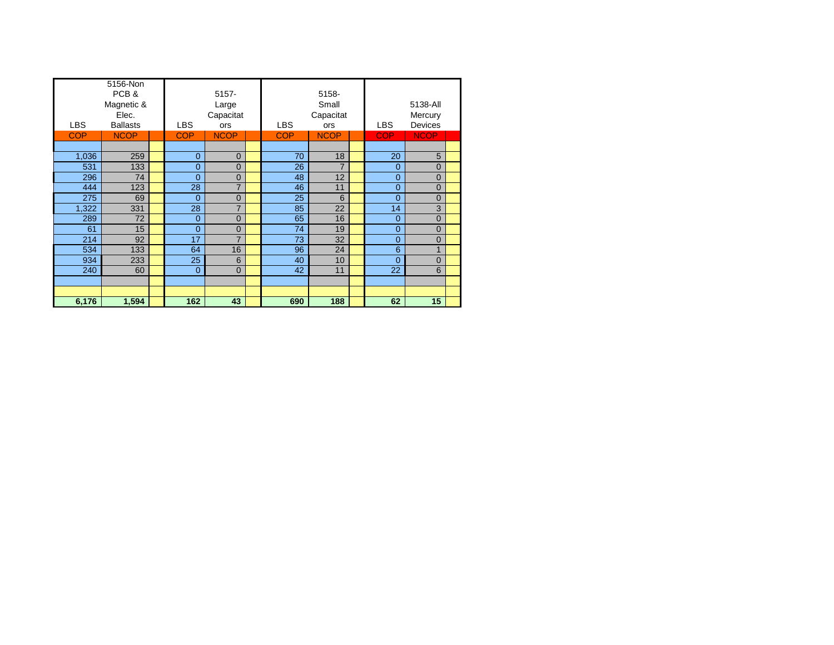| <b>LBS</b> | 5156-Non<br>PCB&<br>Magnetic &<br>Elec.<br><b>Ballasts</b> | <b>LBS</b>     | $5157 -$<br>Large<br>Capacitat<br><b>ors</b> | <b>LBS</b> | 5158-<br>Small<br>Capacitat<br>ors | <b>LBS</b>     | 5138-All<br>Mercury<br><b>Devices</b> |  |
|------------|------------------------------------------------------------|----------------|----------------------------------------------|------------|------------------------------------|----------------|---------------------------------------|--|
| <b>COP</b> | <b>NCOP</b>                                                | <b>COP</b>     | <b>NCOP</b>                                  | <b>COP</b> | <b>NCOP</b>                        | <b>COP</b>     | <b>NCOP</b>                           |  |
|            |                                                            |                |                                              |            |                                    |                |                                       |  |
| 1,036      | 259                                                        | $\overline{0}$ | $\Omega$                                     | 70         | 18                                 | 20             | 5                                     |  |
| 531        | 133                                                        | $\overline{0}$ | $\overline{0}$                               | 26         | $\overline{7}$                     | $\overline{0}$ | 0                                     |  |
| 296        | 74                                                         | $\overline{0}$ | $\overline{0}$                               | 48         | 12                                 | $\overline{0}$ | 0                                     |  |
| 444        | 123                                                        | 28             | $\overline{7}$                               | 46         | 11                                 | $\overline{0}$ | $\overline{0}$                        |  |
| 275        | 69                                                         | $\Omega$       | $\overline{0}$                               | 25         | 6                                  | $\overline{0}$ | $\overline{0}$                        |  |
| 1,322      | 331                                                        | 28             | $\overline{7}$                               | 85         | 22                                 | 14             | 3                                     |  |
| 289        | 72                                                         | $\overline{0}$ | $\Omega$                                     | 65         | 16                                 | $\overline{0}$ | 0                                     |  |
| 61         | 15                                                         | $\overline{0}$ | $\overline{0}$                               | 74         | 19                                 | $\overline{0}$ | $\overline{0}$                        |  |
| 214        | 92                                                         | 17             | $\overline{7}$                               | 73         | 32                                 | $\overline{0}$ | $\overline{0}$                        |  |
| 534        | 133                                                        | 64             | 16                                           | 96         | 24                                 | 6              | $\mathbf{1}$                          |  |
| 934        | 233                                                        | 25             | 6                                            | 40         | 10                                 | $\overline{0}$ | $\overline{0}$                        |  |
| 240        | 60                                                         | $\overline{0}$ | $\overline{0}$                               | 42         | 11                                 | 22             | 6                                     |  |
|            |                                                            |                |                                              |            |                                    |                |                                       |  |
|            |                                                            |                |                                              |            |                                    |                |                                       |  |
| 6,176      | 1,594                                                      | 162            | 43                                           | 690        | 188                                | 62             | 15                                    |  |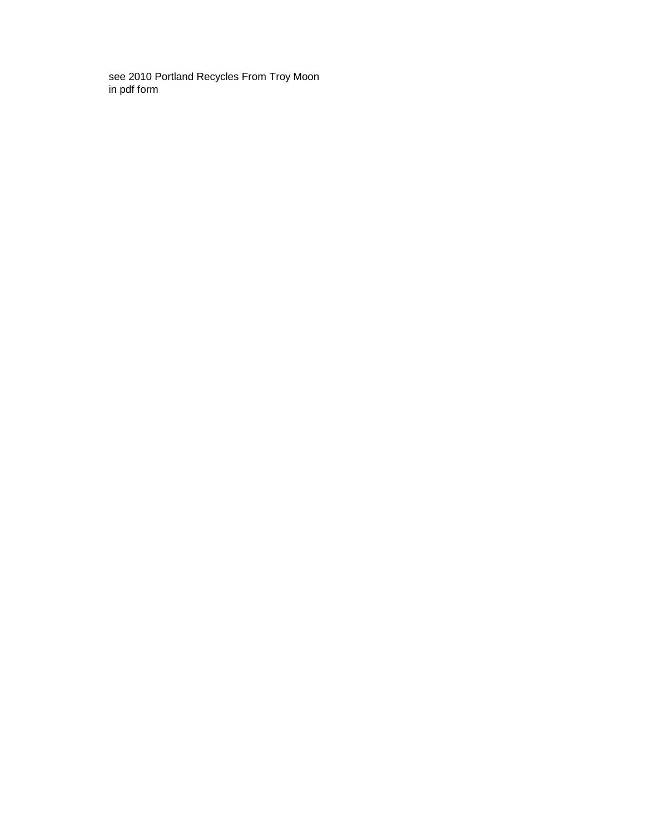see 2010 Portland Recycles From Troy Moon in pdf form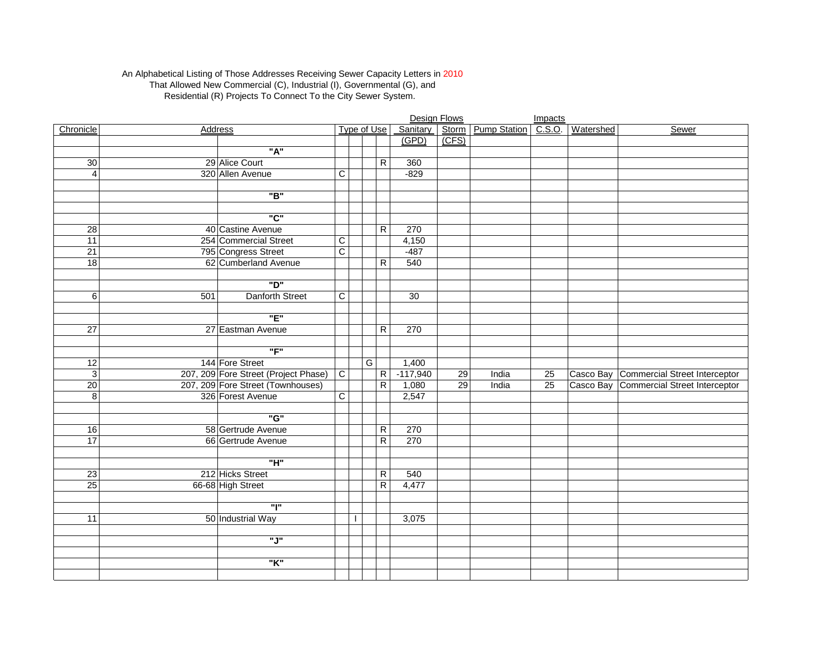#### An Alphabetical Listing of Those Addresses Receiving Sewer Capacity Letters in 2010 That Allowed New Commercial (C), Industrial (I), Governmental (G), and Residential (R) Projects To Connect To the City Sewer System.

|                 |     |                                      |                |   |                             |            | Design Flows |                                 | Impacts |           |                                         |
|-----------------|-----|--------------------------------------|----------------|---|-----------------------------|------------|--------------|---------------------------------|---------|-----------|-----------------------------------------|
| Chronicle       |     | <b>Address</b>                       |                |   | <b>Type of Use</b>          |            |              | Sanitary   Storm   Pump Station | C.S.O.  | Watershed | Sewer                                   |
|                 |     |                                      |                |   |                             | (GPD)      | (CFS)        |                                 |         |           |                                         |
|                 |     | "A"                                  |                |   |                             |            |              |                                 |         |           |                                         |
| 30              |     | 29 Alice Court                       |                |   | $\mathsf R$                 | 360        |              |                                 |         |           |                                         |
| $\overline{4}$  |     | 320 Allen Avenue                     | $\mathsf C$    |   |                             | $-829$     |              |                                 |         |           |                                         |
|                 |     |                                      |                |   |                             |            |              |                                 |         |           |                                         |
|                 |     | "B"                                  |                |   |                             |            |              |                                 |         |           |                                         |
|                 |     |                                      |                |   |                             |            |              |                                 |         |           |                                         |
|                 |     | "C"                                  |                |   |                             |            |              |                                 |         |           |                                         |
| $\overline{28}$ |     | 40 Castine Avenue                    |                |   | R                           | 270        |              |                                 |         |           |                                         |
| 11              |     | 254 Commercial Street                | C              |   |                             | 4,150      |              |                                 |         |           |                                         |
| $\overline{21}$ |     | 795 Congress Street                  | $\overline{C}$ |   |                             | $-487$     |              |                                 |         |           |                                         |
| 18              |     | 62 Cumberland Avenue                 |                |   | $\mathsf R$                 | 540        |              |                                 |         |           |                                         |
|                 |     |                                      |                |   |                             |            |              |                                 |         |           |                                         |
|                 |     | "D"                                  |                |   |                             |            |              |                                 |         |           |                                         |
| 6               | 501 | <b>Danforth Street</b>               | $\overline{C}$ |   |                             | 30         |              |                                 |         |           |                                         |
|                 |     |                                      |                |   |                             |            |              |                                 |         |           |                                         |
|                 |     | "E"                                  |                |   |                             |            |              |                                 |         |           |                                         |
| $\overline{27}$ |     | 27 Eastman Avenue                    |                |   | R                           | 270        |              |                                 |         |           |                                         |
|                 |     |                                      |                |   |                             |            |              |                                 |         |           |                                         |
|                 |     | "F"                                  |                |   |                             |            |              |                                 |         |           |                                         |
| 12              |     | 144 Fore Street                      |                |   | G                           | 1,400      |              |                                 |         |           |                                         |
| $\overline{3}$  |     | 207, 209 Fore Street (Project Phase) | $\overline{C}$ |   | $\overline{R}$              | $-117,940$ | 29           | India                           | 25      |           | Casco Bay Commercial Street Interceptor |
| $\overline{20}$ |     | 207, 209 Fore Street (Townhouses)    |                |   | $\mathsf{R}$                | 1,080      | 29           | India                           | 25      |           | Casco Bay Commercial Street Interceptor |
| $\overline{8}$  |     | 326 Forest Avenue                    | $\overline{C}$ |   |                             | 2,547      |              |                                 |         |           |                                         |
|                 |     | "G"                                  |                |   |                             |            |              |                                 |         |           |                                         |
|                 |     |                                      |                |   |                             |            |              |                                 |         |           |                                         |
| 16<br>17        |     | 58 Gertrude Avenue                   |                |   | $\mathsf{R}$                | 270        |              |                                 |         |           |                                         |
|                 |     | 66 Gertrude Avenue                   |                |   | $\overline{\mathsf{R}}$     | 270        |              |                                 |         |           |                                         |
|                 |     | "H"                                  |                |   |                             |            |              |                                 |         |           |                                         |
|                 |     |                                      |                |   |                             |            |              |                                 |         |           |                                         |
| 23<br>25        |     | 212 Hicks Street                     |                |   | ${\sf R}$<br>$\overline{R}$ | 540        |              |                                 |         |           |                                         |
|                 |     | 66-68 High Street                    |                |   |                             | 4,477      |              |                                 |         |           |                                         |
|                 |     | "l"                                  |                |   |                             |            |              |                                 |         |           |                                         |
| $\overline{11}$ |     | 50 Industrial Way                    |                | ı |                             | 3,075      |              |                                 |         |           |                                         |
|                 |     |                                      |                |   |                             |            |              |                                 |         |           |                                         |
|                 |     | "J"                                  |                |   |                             |            |              |                                 |         |           |                                         |
|                 |     |                                      |                |   |                             |            |              |                                 |         |           |                                         |
|                 |     | "K"                                  |                |   |                             |            |              |                                 |         |           |                                         |
|                 |     |                                      |                |   |                             |            |              |                                 |         |           |                                         |
|                 |     |                                      |                |   |                             |            |              |                                 |         |           |                                         |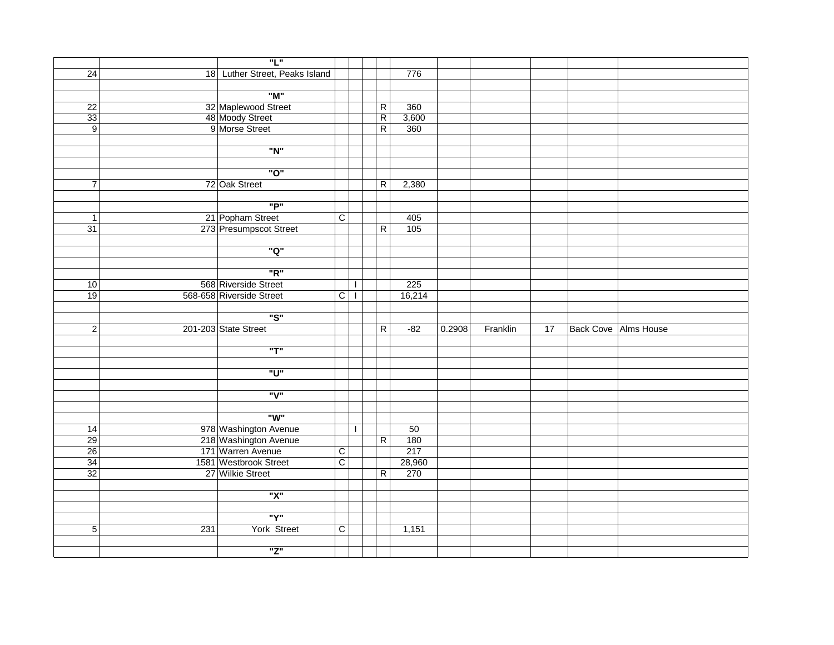|                 |     | "L"                                    |                |                |        |        |          |    |                             |
|-----------------|-----|----------------------------------------|----------------|----------------|--------|--------|----------|----|-----------------------------|
| $\overline{24}$ |     | 18 Luther Street, Peaks Island         |                |                | 776    |        |          |    |                             |
|                 |     |                                        |                |                |        |        |          |    |                             |
|                 |     | "M"                                    |                |                |        |        |          |    |                             |
| $\overline{22}$ |     |                                        |                | ${\sf R}$      | 360    |        |          |    |                             |
| 33              |     | 32 Maplewood Street<br>48 Moody Street |                | $\overline{R}$ | 3,600  |        |          |    |                             |
| 9               |     | 9 Morse Street                         |                | $\overline{R}$ | 360    |        |          |    |                             |
|                 |     |                                        |                |                |        |        |          |    |                             |
|                 |     | "N"                                    |                |                |        |        |          |    |                             |
|                 |     |                                        |                |                |        |        |          |    |                             |
|                 |     | "O"                                    |                |                |        |        |          |    |                             |
| $\overline{7}$  |     | 72 Oak Street                          |                | $\overline{R}$ | 2,380  |        |          |    |                             |
|                 |     |                                        |                |                |        |        |          |    |                             |
|                 |     | "P"                                    |                |                |        |        |          |    |                             |
| $\mathbf{1}$    |     | 21 Popham Street                       | $\overline{C}$ |                | 405    |        |          |    |                             |
| 31              |     | 273 Presumpscot Street                 |                | $\overline{R}$ | 105    |        |          |    |                             |
|                 |     |                                        |                |                |        |        |          |    |                             |
|                 |     | "Q"                                    |                |                |        |        |          |    |                             |
|                 |     |                                        |                |                |        |        |          |    |                             |
|                 |     | "R"                                    |                |                |        |        |          |    |                             |
| 10              |     | 568 Riverside Street                   |                | $\mathbf{I}$   | 225    |        |          |    |                             |
| 19              |     | 568-658 Riverside Street               | $\overline{C}$ | $\mathbf{I}$   | 16,214 |        |          |    |                             |
|                 |     | "S"                                    |                |                |        |        |          |    |                             |
|                 |     | 201-203 State Street                   |                |                |        |        |          |    |                             |
| $\overline{2}$  |     |                                        |                | ${\sf R}$      | $-82$  | 0.2908 | Franklin | 17 | <b>Back Cove Alms House</b> |
|                 |     | "T"                                    |                |                |        |        |          |    |                             |
|                 |     |                                        |                |                |        |        |          |    |                             |
|                 |     | "ט"                                    |                |                |        |        |          |    |                             |
|                 |     |                                        |                |                |        |        |          |    |                             |
|                 |     | "V"                                    |                |                |        |        |          |    |                             |
|                 |     |                                        |                |                |        |        |          |    |                             |
|                 |     | "W"                                    |                |                |        |        |          |    |                             |
| $\overline{14}$ |     | 978 Washington Avenue                  |                | $\mathbf{I}$   | 50     |        |          |    |                             |
| 29              |     | 218 Washington Avenue                  |                | $\overline{R}$ | 180    |        |          |    |                             |
| 26              |     | 171 Warren Avenue                      | $\overline{C}$ |                | 217    |        |          |    |                             |
| 34              |     | 1581 Westbrook Street                  | $\overline{C}$ |                | 28,960 |        |          |    |                             |
| 32              |     | 27 Wilkie Street                       |                | $\overline{R}$ | 270    |        |          |    |                             |
|                 |     |                                        |                |                |        |        |          |    |                             |
|                 |     | "X"                                    |                |                |        |        |          |    |                             |
|                 |     |                                        |                |                |        |        |          |    |                             |
|                 |     | "Y"                                    |                |                |        |        |          |    |                             |
| 5               | 231 | York Street                            | $\overline{C}$ |                | 1,151  |        |          |    |                             |
|                 |     |                                        |                |                |        |        |          |    |                             |
|                 |     | "Z"                                    |                |                |        |        |          |    |                             |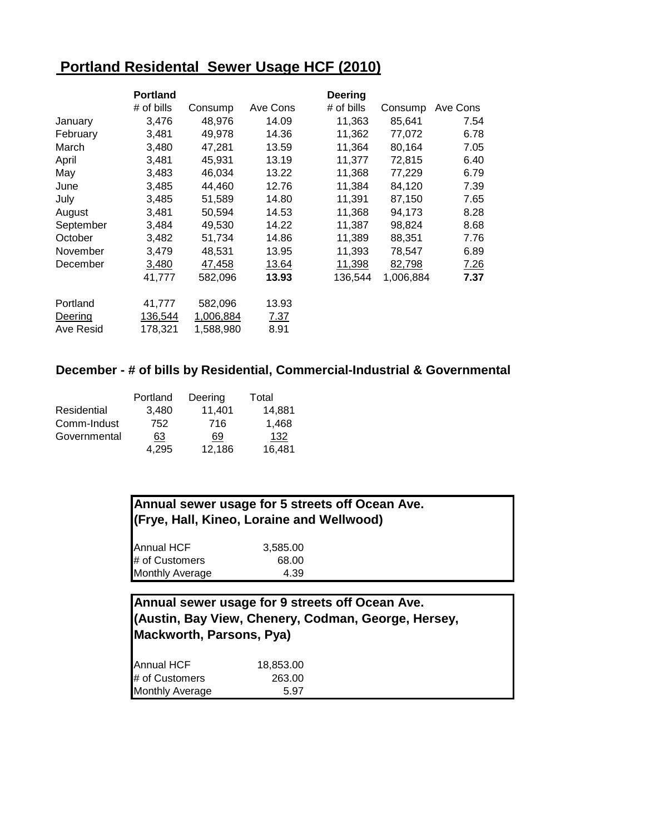# **Portland Residental Sewer Usage HCF (2010)**

|           | <b>Portland</b> |           |          | <b>Deering</b> |           |          |
|-----------|-----------------|-----------|----------|----------------|-----------|----------|
|           | $#$ of bills    | Consump   | Ave Cons | # of bills     | Consump   | Ave Cons |
| January   | 3,476           | 48,976    | 14.09    | 11,363         | 85,641    | 7.54     |
| February  | 3,481           | 49,978    | 14.36    | 11,362         | 77,072    | 6.78     |
| March     | 3,480           | 47,281    | 13.59    | 11,364         | 80,164    | 7.05     |
| April     | 3,481           | 45,931    | 13.19    | 11,377         | 72,815    | 6.40     |
| May       | 3,483           | 46,034    | 13.22    | 11,368         | 77,229    | 6.79     |
| June      | 3,485           | 44,460    | 12.76    | 11,384         | 84,120    | 7.39     |
| July      | 3,485           | 51,589    | 14.80    | 11,391         | 87,150    | 7.65     |
| August    | 3,481           | 50,594    | 14.53    | 11,368         | 94,173    | 8.28     |
| September | 3,484           | 49,530    | 14.22    | 11,387         | 98,824    | 8.68     |
| October   | 3,482           | 51,734    | 14.86    | 11,389         | 88,351    | 7.76     |
| November  | 3,479           | 48,531    | 13.95    | 11,393         | 78,547    | 6.89     |
| December  | 3,480           | 47,458    | 13.64    | 11,398         | 82,798    | 7.26     |
|           | 41,777          | 582,096   | 13.93    | 136,544        | 1,006,884 | 7.37     |
| Portland  | 41,777          | 582,096   | 13.93    |                |           |          |
| Deering   | 136,544         | 1,006,884 | 7.37     |                |           |          |
| Ave Resid | 178,321         | 1,588,980 | 8.91     |                |           |          |

### **December - # of bills by Residential, Commercial-Industrial & Governmental**

|              | Portland | Deering | Total  |
|--------------|----------|---------|--------|
| Residential  | 3.480    | 11,401  | 14,881 |
| Comm-Indust  | 752      | 716     | 1.468  |
| Governmental | 63       | 69      | 132    |
|              | 4.295    | 12,186  | 16,481 |

# **Annual sewer usage for 5 streets off Ocean Ave. (Frye, Hall, Kineo, Loraine and Wellwood)**

| <b>Annual HCF</b>      | 3,585.00 |  |
|------------------------|----------|--|
| # of Customers         | 68.00    |  |
| <b>Monthly Average</b> | 4.39     |  |

# **Annual sewer usage for 9 streets off Ocean Ave. (Austin, Bay View, Chenery, Codman, George, Hersey, Mackworth, Parsons, Pya)**

| <b>Annual HCF</b>      | 18,853.00 |  |
|------------------------|-----------|--|
| # of Customers         | 263.00    |  |
| <b>Monthly Average</b> | 5.97      |  |